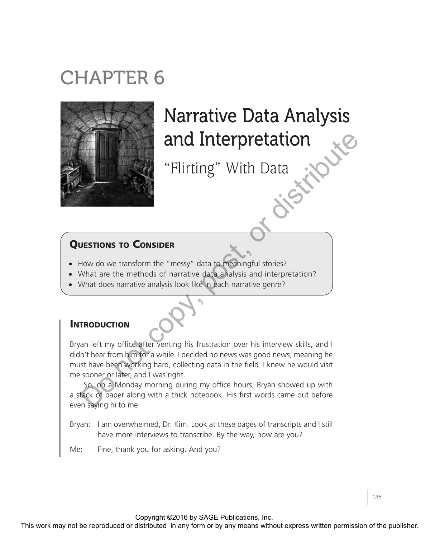# CHAPTER 6



# Narrative Data Analysis and Interpretation

"Flirting" With Data

# Questions to Consider

- How do we transform the "messy" data to meaningful stories?
- What are the methods of narrative data analysis and interpretation?
- What does narrative analysis look like in each narrative genre?

# **INTRODUCTION**

Bryan left my office after venting his frustration over his interview skills, and I didn't hear from him for a while. I decided no news was good news, meaning he must have been working hard, collecting data in the field. I knew he would visit me sooner or later, and I was right. **EXPREDICTS THE SECTION THE SECTION CONSULTER THE SECTION CONSULTER CONSULTER CONSULTER CONSULTER CONSULTER CONSULTER CONSULTER CONSULTER CONSULTER CONSULTER CONSULTER CONSULTER CONSULTER CONSULTER CONSULTER CONSULTER CON** 

So, on a Monday morning during my office hours, Bryan showed up with a stack of paper along with a thick notebook. His first words came out before even saying hi to me.

Bryan: I am overwhelmed, Dr. Kim. Look at these pages of transcripts and I still have more interviews to transcribe. By the way, how are you?

Me: Fine, thank you for asking. And you?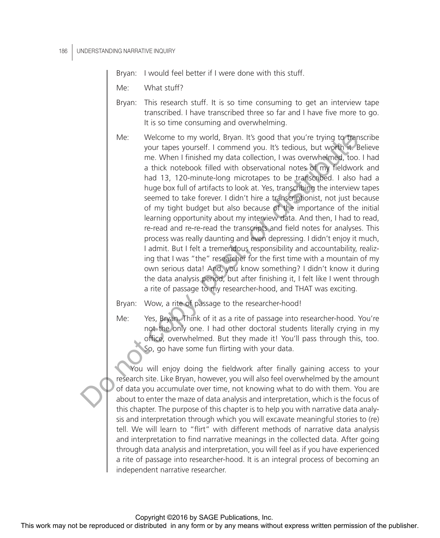#### 186 UNDERSTANDING NARRATIVE INQUIRY

Bryan: I would feel better if I were done with this stuff.

Me: What stuff?

- Bryan: This research stuff. It is so time consuming to get an interview tape transcribed. I have transcribed three so far and I have five more to go. It is so time consuming and overwhelming.
- Me: Welcome to my world, Bryan. It's good that you're trying to transcribe your tapes yourself. I commend you. It's tedious, but worth it. Believe me. When I finished my data collection, I was overwhelmed, too. I had a thick notebook filled with observational notes of my fieldwork and had 13, 120-minute-long microtapes to be transcribed. I also had a huge box full of artifacts to look at. Yes, transcribing the interview tapes seemed to take forever. I didn't hire a transcriptionist, not just because of my tight budget but also because of the importance of the initial learning opportunity about my interview data. And then, I had to read, re-read and re-re-read the transcripts and field notes for analyses. This process was really daunting and even depressing. I didn't enjoy it much, I admit. But I felt a tremendous responsibility and accountability, realizing that I was "the" researcher for the first time with a mountain of my own serious data! And, you know something? I didn't know it during the data analysis period, but after finishing it, I felt like I went through a rite of passage to my researcher-hood, and THAT was exciting. Me: we trop work distributed or distributed in any other throp sympatocides or distributed in any form or the minimidation of the publisher and the reproduced in any means we can be reproduced in any form or by any means

Bryan: Wow, a rite of passage to the researcher-hood!

Me: Yes, Bryan. Think of it as a rite of passage into researcher-hood. You're not the only one. I had other doctoral students literally crying in my office, overwhelmed. But they made it! You'll pass through this, too. So, go have some fun flirting with your data.

You will enjoy doing the fieldwork after finally gaining access to your research site. Like Bryan, however, you will also feel overwhelmed by the amount of data you accumulate over time, not knowing what to do with them. You are about to enter the maze of data analysis and interpretation, which is the focus of this chapter. The purpose of this chapter is to help you with narrative data analysis and interpretation through which you will excavate meaningful stories to (re) tell. We will learn to "flirt" with different methods of narrative data analysis and interpretation to find narrative meanings in the collected data. After going through data analysis and interpretation, you will feel as if you have experienced a rite of passage into researcher-hood. It is an integral process of becoming an independent narrative researcher.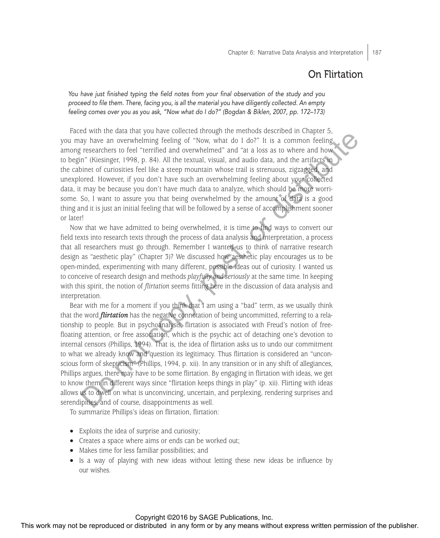# On Flirtation

*You have just finished typing the field notes from your final observation of the study and you proceed to file them. There, facing you, is all the material you have diligently collected. An empty feeling comes over you as you ask, "Now what do I do?" (Bogdan & Biklen, 2007, pp. 172–173)*

Faced with the data that you have collected through the methods described in Chapter 5, you may have an overwhelming feeling of "Now, what do I do?" It is a common feeling among researchers to feel "terrified and overwhelmed" and "at a loss as to where and how to begin" (Kiesinger, 1998, p. 84). All the textual, visual, and audio data, and the artifacts in the cabinet of curiosities feel like a steep mountain whose trail is strenuous, zigzagged, and unexplored. However, if you don't have such an overwhelming feeling about your collected data, it may be because you don't have much data to analyze, which should be more worrisome. So, I want to assure you that being overwhelmed by the amount of data is a good thing and it is just an initial feeling that will be followed by a sense of accomplishment sooner or later!

Now that we have admitted to being overwhelmed, it is time to find ways to convert our field texts into research texts through the process of data analysis and interpretation, a process that all researchers must go through. Remember I wanted us to think of narrative research design as "aesthetic play" (Chapter 3)? We discussed how aesthetic play encourages us to be open-minded, experimenting with many different, possible ideas out of curiosity. I wanted us to conceive of research design and methods *playfully and seriously* at the same time. In keeping with this spirit, the notion of *flirtation* seems fitting here in the discussion of data analysis and interpretation.

Bear with me for a moment if you think that I am using a "bad" term, as we usually think that the word *flirtation* has the negative connotation of being uncommitted, referring to a relationship to people. But in psychoanalysis, flirtation is associated with Freud's notion of freefloating attention, or free association, which is the psychic act of detaching one's devotion to internal censors (Phillips, 1994). That is, the idea of flirtation asks us to undo our commitment to what we already know and question its legitimacy. Thus flirtation is considered an "unconscious form of skepticism" (Phillips, 1994, p. xii). In any transition or in any shift of allegiances, Phillips argues, there may have to be some flirtation. By engaging in flirtation with ideas, we get to know them in different ways since "flirtation keeps things in play" (p. xii). Flirting with ideas allows us to dwell on what is unconvincing, uncertain, and perplexing, rendering surprises and serendipities, and of course, disappointments as well. y or the second or be represented or distributed in any form or by any form or be reproduced or distributed in any form or by any or be reproduced in any form or be any means with  $\alpha$  and  $\alpha$  any point  $\alpha$  and  $\alpha$  any

To summarize Phillips's ideas on flirtation, flirtation:

- Exploits the idea of surprise and curiosity;
- Creates a space where aims or ends can be worked out;
- Makes time for less familiar possibilities; and
- Is a way of playing with new ideas without letting these new ideas be influence by our wishes.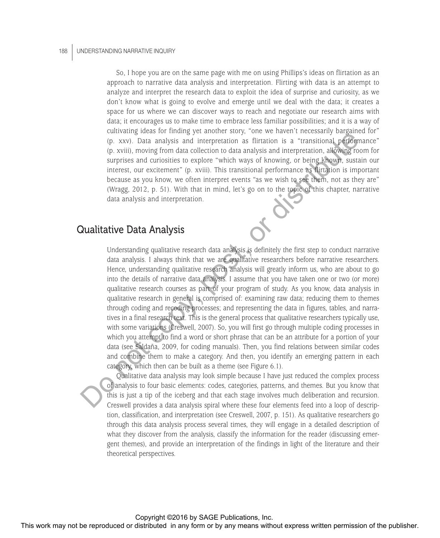So, I hope you are on the same page with me on using Phillips's ideas on flirtation as an approach to narrative data analysis and interpretation. Flirting with data is an attempt to analyze and interpret the research data to exploit the idea of surprise and curiosity, as we don't know what is going to evolve and emerge until we deal with the data; it creates a space for us where we can discover ways to reach and negotiate our research aims with data; it encourages us to make time to embrace less familiar possibilities; and it is a way of cultivating ideas for finding yet another story, "one we haven't necessarily bargained for" (p. xxv). Data analysis and interpretation as flirtation is a "transitional performance" (p. xviii), moving from data collection to data analysis and interpretation, allowing room for surprises and curiosities to explore "which ways of knowing, or being known, sustain our interest, our excitement" (p. xviii). This transitional performance as flirtation is important because as you know, we often interpret events "as we wish to see them, not as they are" (Wragg, 2012, p. 51). With that in mind, let's go on to the topic of this chapter, narrative data analysis and interpretation.

# Qualitative Data Analysis

Understanding qualitative research data analysis is definitely the first step to conduct narrative data analysis. I always think that we are qualitative researchers before narrative researchers. Hence, understanding qualitative research analysis will greatly inform us, who are about to go into the details of narrative data analysis. I assume that you have taken one or two (or more) qualitative research courses as part of your program of study. As you know, data analysis in qualitative research in general is comprised of: examining raw data; reducing them to themes through coding and recoding processes; and representing the data in figures, tables, and narratives in a final research text. This is the general process that qualitative researchers typically use, with some variations (Creswell, 2007). So, you will first go through multiple coding processes in which you attempt to find a word or short phrase that can be an attribute for a portion of your data (see Saldaña, 2009, for coding manuals). Then, you find relations between similar codes and combine them to make a category. And then, you identify an emerging pattern in each category, which then can be built as a theme (see Figure 6.1). This work may not be reproduced or distributed in any formulation  $\frac{1}{2}$  work may not be reproduced or a probability of the publisher. The content of the publisher or by any distributed in any form or by any form or by

Qualitative data analysis may look simple because I have just reduced the complex process of analysis to four basic elements: codes, categories, patterns, and themes. But you know that this is just a tip of the iceberg and that each stage involves much deliberation and recursion. Creswell provides a data analysis spiral where these four elements feed into a loop of description, classification, and interpretation (see Creswell, 2007, p. 151). As qualitative researchers go through this data analysis process several times, they will engage in a detailed description of what they discover from the analysis, classify the information for the reader (discussing emergent themes), and provide an interpretation of the findings in light of the literature and their theoretical perspectives.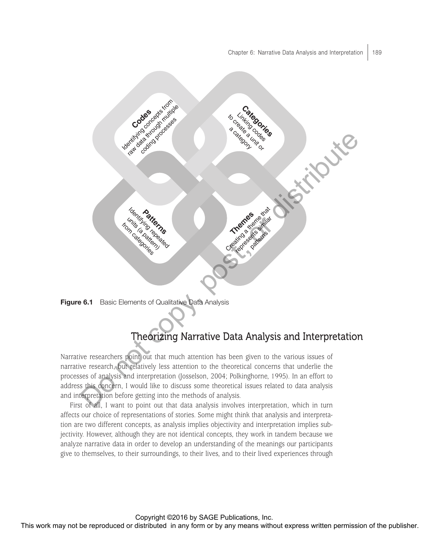

Figure 6.1 Basic Elements of Qualitative Data Analysis

# Theorizing Narrative Data Analysis and Interpretation

Narrative researchers point out that much attention has been given to the various issues of narrative research, but relatively less attention to the theoretical concerns that underlie the processes of analysis and interpretation (Josselson, 2004; Polkinghorne, 1995). In an effort to address this concern, I would like to discuss some theoretical issues related to data analysis and interpretation before getting into the methods of analysis.

First of all, I want to point out that data analysis involves interpretation, which in turn affects our choice of representations of stories. Some might think that analysis and interpretation are two different concepts, as analysis implies objectivity and interpretation implies subjectivity. However, although they are not identical concepts, they work in tandem because we analyze narrative data in order to develop an understanding of the meanings our participants give to themselves, to their surroundings, to their lives, and to their lived experiences through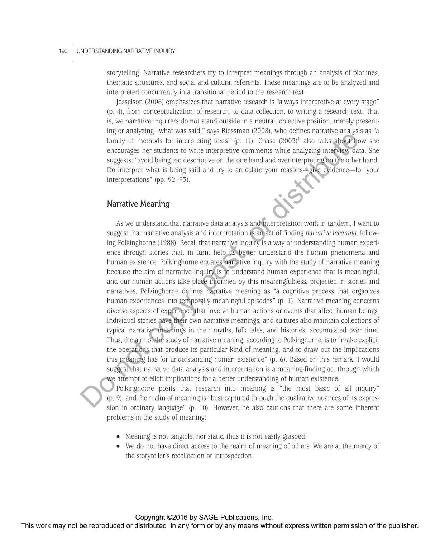storytelling. Narrative researchers try to interpret meanings through an analysis of plotlines, thematic structures, and social and cultural referents. These meanings are to be analyzed and interpreted concurrently in a transitional period to the research text.

Josselson (2006) emphasizes that narrative research is "always interpretive at every stage" (p. 4), from conceptualization of research, to data collection, to writing a research text. That is, we narrative inquirers do not stand outside in a neutral, objective position, merely presenting or analyzing "what was said," says Riessman (2008), who defines narrative analysis as "a family of methods for interpreting texts" (p. 11). Chase  $(2003)^1$  also talks about how she encourages her students to write interpretive comments while analyzing interview data. She suggests: "avoid being too descriptive on the one hand and overinterpreting on the other hand. Do interpret what is being said and try to articulate your reasons—give evidence—for your interpretations" (pp. 92–93).

#### Narrative Meaning

As we understand that narrative data analysis and interpretation work in tandem, I want to suggest that narrative analysis and interpretation is an act of finding *narrative meaning,* following Polkinghorne (1988). Recall that narrative inquiry is a way of understanding human experience through stories that, in turn, help us better understand the human phenomena and human existence. Polkinghorne equates narrative inquiry with the study of narrative meaning because the aim of narrative inquiry is to understand human experience that is meaningful, and our human actions take place informed by this meaningfulness, projected in stories and narratives. Polkinghorne defines narrative meaning as "a cognitive process that organizes human experiences into temporally meaningful episodes" (p. 1). Narrative meaning concerns diverse aspects of experience that involve human actions or events that affect human beings. Individual stories have their own narrative meanings, and cultures also maintain collections of typical narrative meanings in their myths, folk tales, and histories, accumulated over time. Thus, the aim of the study of narrative meaning, according to Polkinghorne, is to "make explicit the operations that produce its particular kind of meaning, and to draw out the implications this meaning has for understanding human existence" (p. 6). Based on this remark, I would suggest that narrative data analysis and interpretation is a meaning-finding act through which we attempt to elicit implications for a better understanding of human existence. This work may not be reproduced or distributed in any form or by an analyzing permission of the reproduced in any form or by any means which can be reproduced in any form or by any means which can be reproduced in any for

Polkinghorne posits that research into meaning is "the most basic of all inquiry" (p. 9), and the realm of meaning is "best captured through the qualitative nuances of its expression in ordinary language" (p. 10). However, he also cautions that there are some inherent problems in the study of meaning:

- Meaning is not tangible, nor static, thus it is not easily grasped.
- We do not have direct access to the realm of meaning of others. We are at the mercy of the storyteller's recollection or introspection.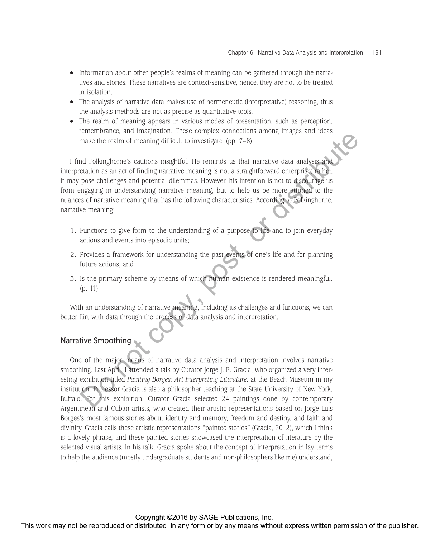- Information about other people's realms of meaning can be gathered through the narratives and stories. These narratives are context-sensitive, hence, they are not to be treated in isolation.
- The analysis of narrative data makes use of hermeneutic (interpretative) reasoning, thus the analysis methods are not as precise as quantitative tools.
- The realm of meaning appears in various modes of presentation, such as perception, remembrance, and imagination. These complex connections among images and ideas make the realm of meaning difficult to investigate. (pp. 7–8)

I find Polkinghorne's cautions insightful. He reminds us that narrative data analysis and interpretation as an act of finding narrative meaning is not a straightforward enterprise; rather, it may pose challenges and potential dilemmas. However, his intention is not to discourage us from engaging in understanding narrative meaning, but to help us be more attuned to the nuances of narrative meaning that has the following characteristics. According to Polkinghorne, narrative meaning:

- 1. Functions to give form to the understanding of a purpose to life and to join everyday actions and events into episodic units;
- 2. Provides a framework for understanding the past events of one's life and for planning future actions; and
- 3. Is the primary scheme by means of which human existence is rendered meaningful. (p. 11)

With an understanding of narrative meaning, including its challenges and functions, we can better flirt with data through the process of data analysis and interpretation.

#### Narrative Smoothing

One of the major means of narrative data analysis and interpretation involves narrative smoothing. Last April, I attended a talk by Curator Jorge J. E. Gracia, who organized a very interesting exhibition titled *Painting Borges: Art Interpreting Literature,* at the Beach Museum in my institution. Professor Gracia is also a philosopher teaching at the State University of New York, Buffalo. For this exhibition, Curator Gracia selected 24 paintings done by contemporary Argentinean and Cuban artists, who created their artistic representations based on Jorge Luis Borges's most famous stories about identity and memory, freedom and destiny, and faith and divinity. Gracia calls these artistic representations "painted stories" (Gracia, 2012), which I think is a lovely phrase, and these painted stories showcased the interpretation of literature by the selected visual artists. In his talk, Gracia spoke about the concept of interpretation in lay terms to help the audience (mostly undergraduate students and non-philosophers like me) understand, The results are the reproduced or distributed in any form or by any means without expression as a not any mean the reproduced in any means when the publisher or by any means were reproduced in any form or by any means wer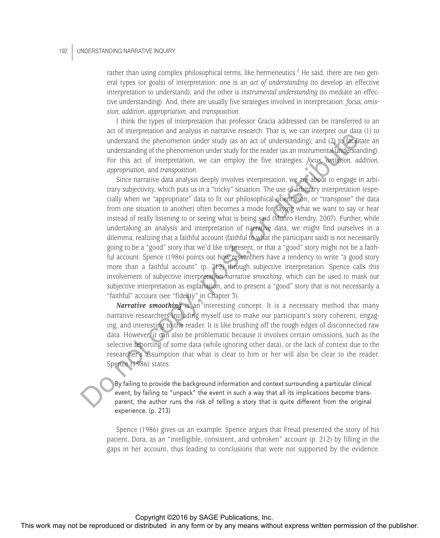rather than using complex philosophical terms, like hermeneutics.<sup>2</sup> He said, there are two general types (or goals) of interpretation: one is an *act of understanding* (to develop an effective interpretation to understand); and the other is *instrumental understanding* (to mediate an effective understanding). And, there are usually five strategies involved in interpretation: *focus, omission, addition, appropriation,* and *transposition.*

I think the types of interpretation that professor Gracia addressed can be transferred to an act of interpretation and analysis in narrative research. That is, we can interpret our data (1) to understand the phenomenon under study (as an act of understanding); and (2) to facilitate an understanding of the phenomenon under study for the reader (as an instrumental understanding). For this act of interpretation, we can employ the five strategies: *focus, omission, addition, appropriation,* and *transposition.*

Since narrative data analysis deeply involves interpretation, we are about to engage in arbitrary subjectivity, which puts us in a "tricky" situation. The use of arbitrary interpretation (especially when we "appropriate" data to fit our philosophical orientation, or "transpose" the data from one situation to another) often becomes a mode for saying what we want to say or hear instead of really listening to or seeing what is being said (Munro Hendry, 2007). Further, while undertaking an analysis and interpretation of narrative data, we might find ourselves in a dilemma, realizing that a faithful account (faithful to what the participant said) is not necessarily going to be a "good" story that we'd like to present, or that a "good" story might not be a faithful account. Spence (1986) points out how researchers have a tendency to write "a good story more than a faithful account" (p. 212) through subjective interpretation. Spence calls this involvement of subjective interpretation *narrative smoothing,* which can be used to mask our subjective interpretation as explanation, and to present a "good" story that is not necessarily a "faithful" account (see "fidelity" in Chapter 3). The control of the publisher or distributed in any form or by an an our bureautically control or distributed in any form or a stributed in any form or a stributed in any form or a stributed in any form or a stributed in

*Narrative smoothing* is an interesting concept. It is a necessary method that many narrative researchers including myself use to make our participant's story coherent, engaging, and interesting to the reader. It is like brushing off the rough edges of disconnected raw data. However, it can also be problematic because it involves certain omissions, such as the selective reporting of some data (while ignoring other data), or the lack of context due to the researcher's assumption that what is clear to him or her will also be clear to the reader. Spence (1986) states:

By failing to provide the background information and context surrounding a particular clinical event, by failing to "unpack" the event in such a way that all its implications become transparent, the author runs the risk of telling a story that is quite different from the original experience. (p. 213)

Spence (1986) gives us an example. Spence argues that Freud presented the story of his patient, Dora, as an "intelligible, consistent, and unbroken" account (p. 212) by filling in the gaps in her account, thus leading to conclusions that were not supported by the evidence.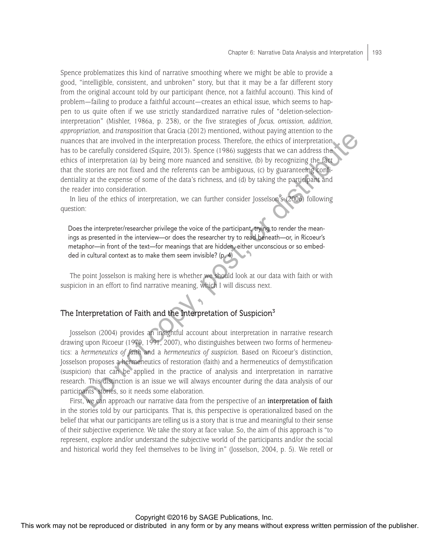Spence problematizes this kind of narrative smoothing where we might be able to provide a good, "intelligible, consistent, and unbroken" story, but that it may be a far different story from the original account told by our participant (hence, not a faithful account). This kind of problem—failing to produce a faithful account—creates an ethical issue, which seems to happen to us quite often if we use strictly standardized narrative rules of "deletion-selectioninterpretation" (Mishler, 1986a, p. 238), or the five strategies of *focus, omission, addition, appropriation,* and *transposition* that Gracia (2012) mentioned, without paying attention to the nuances that are involved in the interpretation process. Therefore, the ethics of interpretation has to be carefully considered (Squire, 2013). Spence (1986) suggests that we can address the ethics of interpretation (a) by being more nuanced and sensitive, (b) by recognizing the fact that the stories are not fixed and the referents can be ambiguous, (c) by guaranteeing confidentiality at the expense of some of the data's richness, and (d) by taking the participant and the reader into consideration.

In lieu of the ethics of interpretation, we can further consider Josselson's (2006) following question:

Does the interpreter/researcher privilege the voice of the participant, trying to render the meanings as presented in the interview—or does the researcher try to read beneath—or, in Ricoeur's metaphor—in front of the text—for meanings that are hidden, either unconscious or so embedded in cultural context as to make them seem invisible? (p. 4)

The point Josselson is making here is whether we should look at our data with faith or with suspicion in an effort to find narrative meaning, which I will discuss next.

#### The Interpretation of Faith and the Interpretation of Suspicion<sup>3</sup>

Josselson (2004) provides an insightful account about interpretation in narrative research drawing upon Ricoeur (1970, 1991, 2007), who distinguishes between two forms of hermeneutics: a *hermeneutics of faith* and a *hermeneutics of suspicion.* Based on Ricoeur's distinction, Josselson proposes a hermeneutics of restoration (faith) and a hermeneutics of demystification (suspicion) that can be applied in the practice of analysis and interpretation in narrative research. This distinction is an issue we will always encounter during the data analysis of our participants' stories, so it needs some elaboration. The absorption of the representation or distributed in any form or by any form or by any means with the representation of the publisher. This we control the publishers with the repression of the publishers were a national

First, we can approach our narrative data from the perspective of an **interpretation of faith** in the stories told by our participants. That is, this perspective is operationalized based on the belief that what our participants are telling us is a story that is true and meaningful to their sense of their subjective experience. We take the story at face value. So, the aim of this approach is "to represent, explore and/or understand the subjective world of the participants and/or the social and historical world they feel themselves to be living in" (Josselson, 2004, p. 5). We retell or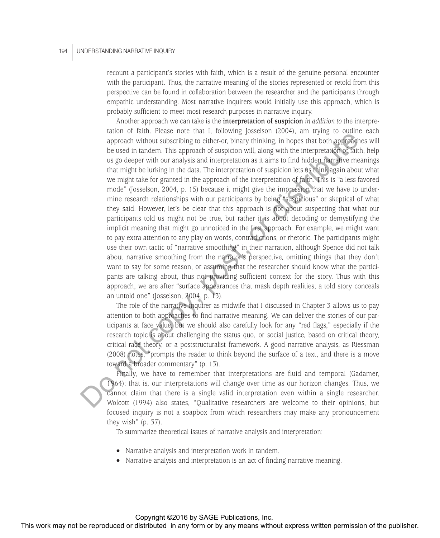recount a participant's stories with faith, which is a result of the genuine personal encounter with the participant. Thus, the narrative meaning of the stories represented or retold from this perspective can be found in collaboration between the researcher and the participants through empathic understanding. Most narrative inquirers would initially use this approach, which is probably sufficient to meet most research purposes in narrative inquiry.

Another approach we can take is the **interpretation of suspicion** *in addition to* the interpretation of faith. Please note that I, following Josselson (2004), am trying to outline each approach without subscribing to either-or, binary thinking, in hopes that both approaches will be used in tandem. This approach of suspicion will, along with the interpretation of faith, help us go deeper with our analysis and interpretation as it aims to find hidden narrative meanings that might be lurking in the data. The interpretation of suspicion lets us think again about what we might take for granted in the approach of the interpretation of faith. This is "a less favored mode" (Josselson, 2004, p. 15) because it might give the impression that we have to undermine research relationships with our participants by being "suspicious" or skeptical of what they said. However, let's be clear that this approach is not about suspecting that what our participants told us might not be true, but rather it is about decoding or demystifying the implicit meaning that might go unnoticed in the first approach. For example, we might want to pay extra attention to any play on words, contradictions, or rhetoric. The participants might use their own tactic of "narrative smoothing" in their narration, although Spence did not talk about narrative smoothing from the narrator's perspective, omitting things that they don't want to say for some reason, or assuming that the researcher should know what the participants are talking about, thus not providing sufficient context for the story. Thus with this approach, we are after "surface appearances that mask depth realities; a told story conceals an untold one" (Josselson, 2004, p. 13). απουτού. Statistically accelerate that is the publisher in the publisher and the bureauto or distributed in any form or by any form or by any means with the publisher. This appears we reproduced the publisher or any of t

The role of the narrative inquirer as midwife that I discussed in Chapter 3 allows us to pay attention to both approaches to find narrative meaning. We can deliver the stories of our participants at face value, but we should also carefully look for any "red flags," especially if the research topic is about challenging the status quo, or social justice, based on critical theory, critical race theory, or a poststructuralist framework. A good narrative analysis, as Riessman (2008) notes, "prompts the reader to think beyond the surface of a text, and there is a move toward a broader commentary" (p. 13).

Finally, we have to remember that interpretations are fluid and temporal (Gadamer, 1964); that is, our interpretations will change over time as our horizon changes. Thus, we cannot claim that there is a single valid interpretation even within a single researcher. Wolcott (1994) also states, "Qualitative researchers are welcome to their opinions, but focused inquiry is not a soapbox from which researchers may make any pronouncement they wish" (p. 37).

To summarize theoretical issues of narrative analysis and interpretation:

- Narrative analysis and interpretation work in tandem.
- Narrative analysis and interpretation is an act of finding narrative meaning.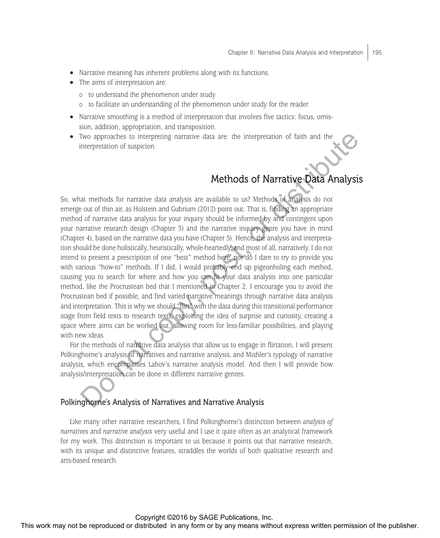- Narrative meaning has inherent problems along with its functions.
- The aims of interpretation are:
	- { to understand the phenomenon under study
	- { to facilitate an understanding of the phenomenon under study for the reader
- Narrative smoothing is a method of interpretation that involves five tactics: focus, omission, addition, appropriation, and transposition.
- Two approaches to interpreting narrative data are: the interpretation of faith and the interpretation of suspicion.

# Methods of Narrative Data Analysis

So, what methods for narrative data analysis are available to us? Methods of analysis do not emerge out of thin air, as Holstein and Gubrium (2012) point out. That is, finding an appropriate method of narrative data analysis for your inquiry should be informed by and contingent upon your narrative research design (Chapter 3) and the narrative inquiry genre you have in mind (Chapter 4), based on the narrative data you have (Chapter 5). Hence, the analysis and interpretation should be done holistically, heuristically, whole-heartedly, and most of all, narratively. I do not intend to present a prescription of one "best" method here, nor do I dare to try to provide you with various "how-to" methods. If I did, I would probably end up pigeonholing each method, causing you to search for where and how you can fit your data analysis into one particular method, like the Procrustean bed that I mentioned in Chapter 2. I encourage you to avoid the Procrustean bed if possible, and find varied narrative meanings through narrative data analysis and interpretation. This is why we should "flirt" with the data during this transitional performance stage from field texts to research texts, exploiting the idea of surprise and curiosity, creating a space where aims can be worked out, allowing room for less-familiar possibilities, and playing with new ideas. This work may not be reproduced or distributed or distributed in any form or by any means while the publisher or any form or by any form or by any means we can be reproduced to any form or by any form or by any means and

For the methods of narrative data analysis that allow us to engage in flirtation, I will present Polkinghorne's analysis of narratives and narrative analysis, and Mishler's typology of narrative analysis, which encompasses Labov's narrative analysis model. And then I will provide how analysis/interpretation can be done in different narrative genres.

#### Polkinghorne's Analysis of Narratives and Narrative Analysis

Like many other narrative researchers, I find Polkinghorne's distinction between *analysis of narratives* and *narrative analysis* very useful and I use it quite often as an analytical framework for my work. This distinction is important to us because it points out that narrative research, with its unique and distinctive features, straddles the worlds of both qualitative research and arts-based research.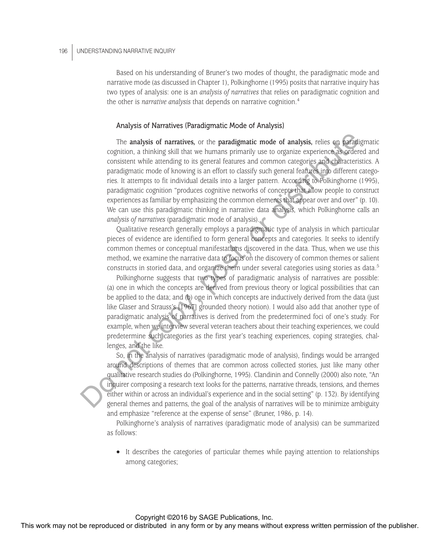Based on his understanding of Bruner's two modes of thought, the paradigmatic mode and narrative mode (as discussed in Chapter 1), Polkinghorne (1995) posits that narrative inquiry has two types of analysis: one is an *analysis of narratives* that relies on paradigmatic cognition and the other is *narrative analysis* that depends on narrative cognition.4

#### Analysis of Narratives (Paradigmatic Mode of Analysis)

The **analysis of narratives,** or the **paradigmatic mode of analysis,** relies on paradigmatic cognition, a thinking skill that we humans primarily use to organize experience as ordered and consistent while attending to its general features and common categories and characteristics. A paradigmatic mode of knowing is an effort to classify such general features into different categories. It attempts to fit individual details into a larger pattern. According to Polkinghorne (1995), paradigmatic cognition "produces cognitive networks of concepts that allow people to construct experiences as familiar by emphasizing the common elements that appear over and over" (p. 10). We can use this paradigmatic thinking in narrative data analysis, which Polkinghorne calls an *analysis of narratives* (paradigmatic mode of analysis). The analysis of marginal permission contour and analysis or or any means with the material contained in any form or by any means with the publisher or the publisher of the publisher of the publisher of the publisher of th

Qualitative research generally employs a paradigmatic type of analysis in which particular pieces of evidence are identified to form general concepts and categories. It seeks to identify common themes or conceptual manifestations discovered in the data. Thus, when we use this method, we examine the narrative data to focus on the discovery of common themes or salient constructs in storied data, and organize them under several categories using stories as data.<sup>5</sup>

Polkinghorne suggests that two types of paradigmatic analysis of narratives are possible: (a) one in which the concepts are derived from previous theory or logical possibilities that can be applied to the data; and (b) one in which concepts are inductively derived from the data (just like Glaser and Strauss's [1967] grounded theory notion). I would also add that another type of paradigmatic analysis of narratives is derived from the predetermined foci of one's study. For example, when we interview several veteran teachers about their teaching experiences, we could predetermine such categories as the first year's teaching experiences, coping strategies, challenges, and the like.

So, in the analysis of narratives (paradigmatic mode of analysis), findings would be arranged around descriptions of themes that are common across collected stories, just like many other qualitative research studies do (Polkinghorne, 1995). Clandinin and Connelly (2000) also note, "An inquirer composing a research text looks for the patterns, narrative threads, tensions, and themes either within or across an individual's experience and in the social setting" (p. 132). By identifying general themes and patterns, the goal of the analysis of narratives will be to minimize ambiguity and emphasize "reference at the expense of sense" (Bruner, 1986, p. 14).

Polkinghorne's analysis of narratives (paradigmatic mode of analysis) can be summarized as follows:

• It describes the categories of particular themes while paying attention to relationships among categories;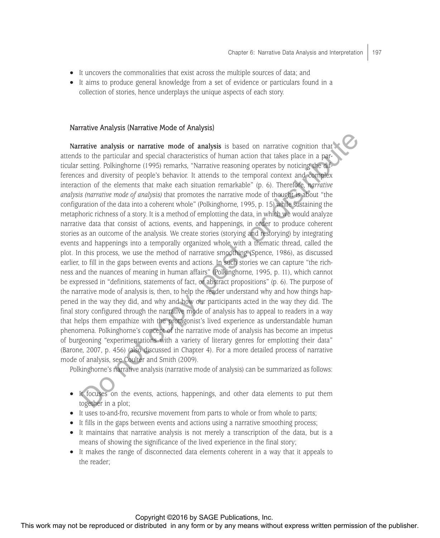- It uncovers the commonalities that exist across the multiple sources of data; and
- It aims to produce general knowledge from a set of evidence or particulars found in a collection of stories, hence underplays the unique aspects of each story.

#### Narrative Analysis (Narrative Mode of Analysis)

**Narrative analysis or narrative mode of analysis** is based on narrative cognition that attends to the particular and special characteristics of human action that takes place in a particular setting. Polkinghorne (1995) remarks, "Narrative reasoning operates by noticing the differences and diversity of people's behavior. It attends to the temporal context and complex interaction of the elements that make each situation remarkable" (p. 6). Therefore, *narrative analysis (narrative mode of analysis)* that promotes the narrative mode of thought is about "the configuration of the data into a coherent whole" (Polkinghorne, 1995, p. 15) while sustaining the metaphoric richness of a story. It is a method of emplotting the data, in which we would analyze narrative data that consist of actions, events, and happenings, in order to produce coherent stories as an outcome of the analysis. We create stories (storying and restorying) by integrating events and happenings into a temporally organized whole with a thematic thread, called the plot. In this process, we use the method of narrative smoothing (Spence, 1986), as discussed earlier, to fill in the gaps between events and actions. In such stories we can capture "the richness and the nuances of meaning in human affairs" (Polkinghorne, 1995, p. 11), which cannot be expressed in "definitions, statements of fact, or abstract propositions" (p. 6). The purpose of the narrative mode of analysis is, then, to help the reader understand why and how things happened in the way they did, and why and how our participants acted in the way they did. The final story configured through the narrative mode of analysis has to appeal to readers in a way that helps them empathize with the protagonist's lived experience as understandable human phenomena. Polkinghorne's concept of the narrative mode of analysis has become an impetus of burgeoning "experimentations with a variety of literary genres for emplotting their data" (Barone, 2007, p. 456) (also discussed in Chapter 4). For a more detailed process of narrative mode of analysis, see Coulter and Smith (2009). **Nursive analysis or startative mode of analysis is those!** or distributed in any form or a contributed in any form or burst means that make control the selection or the means of the may not be reproduced in a publisher.

Polkinghorne's narrative analysis (narrative mode of analysis) can be summarized as follows:

- It focuses on the events, actions, happenings, and other data elements to put them together in a plot;
- It uses to-and-fro, recursive movement from parts to whole or from whole to parts;
- It fills in the gaps between events and actions using a narrative smoothing process;
- It maintains that narrative analysis is not merely a transcription of the data, but is a means of showing the significance of the lived experience in the final story;
- It makes the range of disconnected data elements coherent in a way that it appeals to the reader;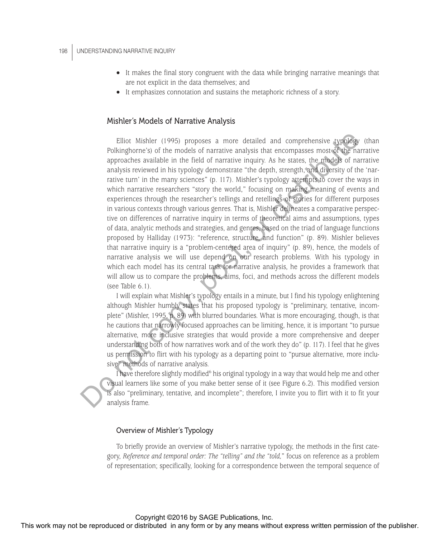#### 198 UNDERSTANDING NARRATIVE INQUIRY

- It makes the final story congruent with the data while bringing narrative meanings that are not explicit in the data themselves; and
- It emphasizes connotation and sustains the metaphoric richness of a story.

#### Mishler's Models of Narrative Analysis

Elliot Mishler (1995) proposes a more detailed and comprehensive typology (than Polkinghorne's) of the models of narrative analysis that encompasses most of the narrative approaches available in the field of narrative inquiry. As he states, the models of narrative analysis reviewed in his typology demonstrate "the depth, strength, and diversity of the 'narrative turn' in the many sciences" (p. 117). Mishler's typology attempts to cover the ways in which narrative researchers "story the world," focusing on making meaning of events and experiences through the researcher's tellings and retellings of stories for different purposes in various contexts through various genres. That is, Mishler delineates a comparative perspective on differences of narrative inquiry in terms of theoretical aims and assumptions, types of data, analytic methods and strategies, and genres, based on the triad of language functions proposed by Halliday (1973): "reference, structure, and function" (p. 89). Mishler believes that narrative inquiry is a "problem-centered area of inquiry" (p. 89), hence, the models of narrative analysis we will use depend on our research problems. With his typology in which each model has its central task for narrative analysis, he provides a framework that will allow us to compare the problems, aims, foci, and methods across the different models (see Table 6.1). This work may not be reproduced or the reproduced in any form or by any means with the reproduced or distributed in any form or by any form or by any form or by any form or by any form or be reproduced in any form or be r

I will explain what Mishler's typology entails in a minute, but I find his typology enlightening although Mishler humbly states that his proposed typology is "preliminary, tentative, incomplete" (Mishler, 1995, p. 89) with blurred boundaries. What is more encouraging, though, is that he cautions that narrowly focused approaches can be limiting, hence, it is important "to pursue alternative, more inclusive strategies that would provide a more comprehensive and deeper understanding both of how narratives work and of the work they do" (p. 117). I feel that he gives us permission to flirt with his typology as a departing point to "pursue alternative, more inclusive" methods of narrative analysis.

I have therefore slightly modified<sup>6</sup> his original typology in a way that would help me and other visual learners like some of you make better sense of it (see Figure 6.2). This modified version is also "preliminary, tentative, and incomplete"; therefore, I invite you to flirt with it to fit your analysis frame.

#### Overview of Mishler's Typology

To briefly provide an overview of Mishler's narrative typology, the methods in the first category, *Reference and temporal order: The "telling" and the "told,*" focus on reference as a problem of representation; specifically, looking for a correspondence between the temporal sequence of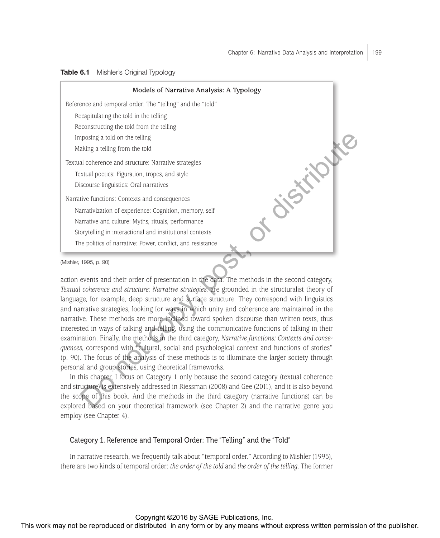| Reference and temporal order: The "telling" and the "told"                                                                                                                                                                                                                                                                                                                                                                                                                                                                                                                                                                                                                                                                                                                                                                                                                                                                                                                                                                                                                                                                                                                                                                                                                                                                                                                          |  |
|-------------------------------------------------------------------------------------------------------------------------------------------------------------------------------------------------------------------------------------------------------------------------------------------------------------------------------------------------------------------------------------------------------------------------------------------------------------------------------------------------------------------------------------------------------------------------------------------------------------------------------------------------------------------------------------------------------------------------------------------------------------------------------------------------------------------------------------------------------------------------------------------------------------------------------------------------------------------------------------------------------------------------------------------------------------------------------------------------------------------------------------------------------------------------------------------------------------------------------------------------------------------------------------------------------------------------------------------------------------------------------------|--|
|                                                                                                                                                                                                                                                                                                                                                                                                                                                                                                                                                                                                                                                                                                                                                                                                                                                                                                                                                                                                                                                                                                                                                                                                                                                                                                                                                                                     |  |
| Recapitulating the told in the telling                                                                                                                                                                                                                                                                                                                                                                                                                                                                                                                                                                                                                                                                                                                                                                                                                                                                                                                                                                                                                                                                                                                                                                                                                                                                                                                                              |  |
| Reconstructing the told from the telling                                                                                                                                                                                                                                                                                                                                                                                                                                                                                                                                                                                                                                                                                                                                                                                                                                                                                                                                                                                                                                                                                                                                                                                                                                                                                                                                            |  |
| Imposing a told on the telling                                                                                                                                                                                                                                                                                                                                                                                                                                                                                                                                                                                                                                                                                                                                                                                                                                                                                                                                                                                                                                                                                                                                                                                                                                                                                                                                                      |  |
| Making a telling from the told                                                                                                                                                                                                                                                                                                                                                                                                                                                                                                                                                                                                                                                                                                                                                                                                                                                                                                                                                                                                                                                                                                                                                                                                                                                                                                                                                      |  |
| Textual coherence and structure: Narrative strategies                                                                                                                                                                                                                                                                                                                                                                                                                                                                                                                                                                                                                                                                                                                                                                                                                                                                                                                                                                                                                                                                                                                                                                                                                                                                                                                               |  |
| Textual poetics: Figuration, tropes, and style                                                                                                                                                                                                                                                                                                                                                                                                                                                                                                                                                                                                                                                                                                                                                                                                                                                                                                                                                                                                                                                                                                                                                                                                                                                                                                                                      |  |
| Histilian<br>Discourse linguistics: Oral narratives                                                                                                                                                                                                                                                                                                                                                                                                                                                                                                                                                                                                                                                                                                                                                                                                                                                                                                                                                                                                                                                                                                                                                                                                                                                                                                                                 |  |
| Narrative functions: Contexts and consequences                                                                                                                                                                                                                                                                                                                                                                                                                                                                                                                                                                                                                                                                                                                                                                                                                                                                                                                                                                                                                                                                                                                                                                                                                                                                                                                                      |  |
| Narrativization of experience: Cognition, memory, self                                                                                                                                                                                                                                                                                                                                                                                                                                                                                                                                                                                                                                                                                                                                                                                                                                                                                                                                                                                                                                                                                                                                                                                                                                                                                                                              |  |
| Narrative and culture: Myths, rituals, performance                                                                                                                                                                                                                                                                                                                                                                                                                                                                                                                                                                                                                                                                                                                                                                                                                                                                                                                                                                                                                                                                                                                                                                                                                                                                                                                                  |  |
| Storytelling in interactional and institutional contexts                                                                                                                                                                                                                                                                                                                                                                                                                                                                                                                                                                                                                                                                                                                                                                                                                                                                                                                                                                                                                                                                                                                                                                                                                                                                                                                            |  |
| The politics of narrative: Power, conflict, and resistance                                                                                                                                                                                                                                                                                                                                                                                                                                                                                                                                                                                                                                                                                                                                                                                                                                                                                                                                                                                                                                                                                                                                                                                                                                                                                                                          |  |
|                                                                                                                                                                                                                                                                                                                                                                                                                                                                                                                                                                                                                                                                                                                                                                                                                                                                                                                                                                                                                                                                                                                                                                                                                                                                                                                                                                                     |  |
| In this chapter, I focus on Category 1 only because the second category (textual coherence                                                                                                                                                                                                                                                                                                                                                                                                                                                                                                                                                                                                                                                                                                                                                                                                                                                                                                                                                                                                                                                                                                                                                                                                                                                                                          |  |
| action events and their order of presentation in the data. The methods in the second category,<br>Textual coherence and structure: Narrative strategies, are grounded in the structuralist theory of<br>language, for example, deep structure and surface structure. They correspond with linguistics<br>and narrative strategies, looking for ways in which unity and coherence are maintained in the<br>narrative. These methods are more inclined toward spoken discourse than written texts, thus<br>interested in ways of talking and telling, using the communicative functions of talking in their<br>examination. Finally, the methods in the third category, Narrative functions: Contexts and conse-<br>quences, correspond with "cultural, social and psychological context and functions of stories"<br>(p. 90). The focus of the analysis of these methods is to illuminate the larger society through<br>personal and group stories, using theoretical frameworks.<br>and structure) is extensively addressed in Riessman (2008) and Gee (2011), and it is also beyond<br>the scope of this book. And the methods in the third category (narrative functions) can be<br>explored based on your theoretical framework (see Chapter 2) and the narrative genre you<br>employ (see Chapter 4).<br>Category 1. Reference and Temporal Order: The "Telling" and the "Told" |  |

#### **Table 6.1** Mishler's Original Typology

#### Category 1. Reference and Temporal Order: The "Telling" and the "Told"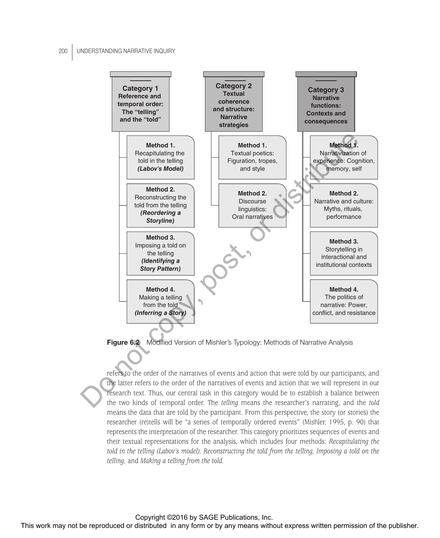

**Figure 6.2** Modified Version of Mishler's Typology: Methods of Narrative Analysis

refers to the order of the narratives of events and action that were told by our participants, and the latter refers to the order of the narratives of events and action that we will represent in our research text. Thus, our central task in this category would be to establish a balance between the two kinds of temporal order. The *telling* means the researcher's narrating, and the *told* means the data that are told by the participant. From this perspective, the story (or stories) the researcher (re)tells will be "a series of temporally ordered events" (Mishler, 1995, p. 90) that represents the interpretation of the researcher. This category prioritizes sequences of events and their textual representations for the analysis, which includes four methods: *Recapitulating the*  told in the telling (Labov's model), Reconstructing the told from the telling, Imposing a told on the *telling,* and *Making a telling from the told.*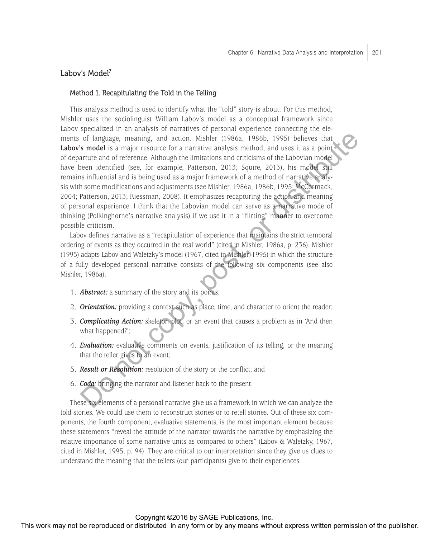#### Labov's Model<sup>7</sup>

#### Method 1. Recapitulating the Told in the Telling

This analysis method is used to identify what the "told" story is about. For this method, Mishler uses the sociolinguist William Labov's model as a conceptual framework since Labov specialized in an analysis of narratives of personal experience connecting the elements of language, meaning, and action. Mishler (1986a, 1986b, 1995) believes that Labov's model is a major resource for a narrative analysis method, and uses it as a point of departure and of reference. Although the limitations and criticisms of the Labovian model have been identified (see, for example, Patterson, 2013; Squire, 2013), his model still remains influential and is being used as a major framework of a method of narrative analysis with some modifications and adjustments (see Mishler, 1986a, 1986b, 1995; McCormack, 2004; Patterson, 2013; Riessman, 2008). It emphasizes recapturing the action and meaning of personal experience. I think that the Labovian model can serve as a narrative mode of thinking (Polkinghorne's narrative analysis) if we use it in a "flirting" manner to overcome possible criticism. ments of language means and arises are publisher (1996), 1995; points at the reproduced or distributed in any form or by any means when the contents of the publisher of the publisher of the publisher and the publisher and

Labov defines narrative as a "recapitulation of experience that maintains the strict temporal ordering of events as they occurred in the real world" (cited in Mishler, 1986a, p. 236). Mishler (1995) adapts Labov and Waletzky's model (1967, cited in Mishler, 1995) in which the structure of a fully developed personal narrative consists of the following six components (see also Mishler, 1986a):

- 1. *Abstract:* a summary of the story and its points;
- 2. *Orientation:* providing a context such as place, time, and character to orient the reader;
- 3. *Complicating Action:* skeleton plot, or an event that causes a problem as in 'And then what happened?';
- 4. *Evaluation:* evaluative comments on events, justification of its telling, or the meaning that the teller gives to an event;
- 5. *Result or Resolution:* resolution of the story or the conflict; and
- 6. *Coda:* bringing the narrator and listener back to the present.

These six elements of a personal narrative give us a framework in which we can analyze the told stories. We could use them to reconstruct stories or to retell stories. Out of these six components, the fourth component, evaluative statements, is the most important element because these statements "reveal the attitude of the narrator towards the narrative by emphasizing the relative importance of some narrative units as compared to others" (Labov & Waletzky, 1967, cited in Mishler, 1995, p. 94). They are critical to our interpretation since they give us clues to understand the meaning that the tellers (our participants) give to their experiences.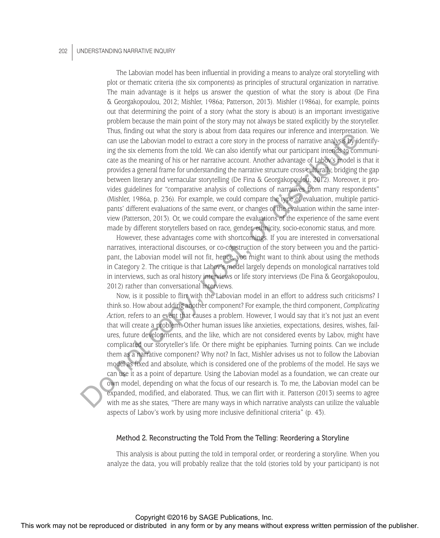#### 202 UNDERSTANDING NARRATIVE INQUIRY

The Labovian model has been influential in providing a means to analyze oral storytelling with plot or thematic criteria (the six components) as principles of structural organization in narrative. The main advantage is it helps us answer the question of what the story is about (De Fina & Georgakopoulou, 2012; Mishler, 1986a; Patterson, 2013). Mishler (1986a), for example, points out that determining the point of a story (what the story is about) is an important investigative problem because the main point of the story may not always be stated explicitly by the storyteller. Thus, finding out what the story is about from data requires our inference and interpretation. We can use the Labovian model to extract a core story in the process of narrative analysis by identifying the six elements from the told. We can also identify what our participant intends to communicate as the meaning of his or her narrative account. Another advantage of Labov's model is that it provides a general frame for understanding the narrative structure cross-culturally, bridging the gap between literary and vernacular storytelling (De Fina & Georgakopoulou, 2012). Moreover, it provides guidelines for "comparative analysis of collections of narratives from many respondents" (Mishler, 1986a, p. 236). For example, we could compare the type of evaluation, multiple participants' different evaluations of the same event, or changes of the evaluation within the same interview (Patterson, 2013). Or, we could compare the evaluations of the experience of the same event made by different storytellers based on race, gender, ethnicity, socio-economic status, and more.

However, these advantages come with shortcomings. If you are interested in conversational narratives, interactional discourses, or co-construction of the story between you and the participant, the Labovian model will not fit, hence, you might want to think about using the methods in Category 2. The critique is that Labov's model largely depends on monological narratives told in interviews, such as oral history interviews or life story interviews (De Fina & Georgakopoulou, 2012) rather than conversational interviews.

Now, is it possible to flirt with the Labovian model in an effort to address such criticisms? I think so. How about adding another component? For example, the third component, *Complicating Action,* refers to an event that causes a problem. However, I would say that it's not just an event that will create a problem. Other human issues like anxieties, expectations, desires, wishes, failures, future developments, and the like, which are not considered events by Labov, might have complicated our storyteller's life. Or there might be epiphanies. Turning points. Can we include them as a narrative component? Why not? In fact, Mishler advises us not to follow the Labovian model as fixed and absolute, which is considered one of the problems of the model. He says we can use it as a point of departure. Using the Labovian model as a foundation, we can create our own model, depending on what the focus of our research is. To me, the Labovian model can be expanded, modified, and elaborated. Thus, we can flirt with it. Patterson (2013) seems to agree with me as she states, "There are many ways in which narrative analysts can utilize the valuable aspects of Labov's work by using more inclusive definitional criteria" (p. 43). or the state methods in any form or the reproduced or the reproduced in any form or by any means with the reproduced in any form or by any means when  $\sqrt{10}$  and  $\sqrt{10}$  and  $\sqrt{10}$  and  $\sqrt{10}$  and  $\sqrt{10}$  any  $\sqrt{10$ 

#### Method 2. Reconstructing the Told From the Telling: Reordering a Storyline

This analysis is about putting the told in temporal order, or reordering a storyline. When you analyze the data, you will probably realize that the told (stories told by your participant) is not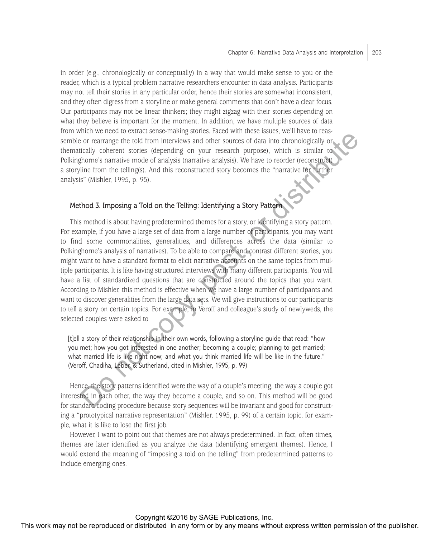in order (e.g., chronologically or conceptually) in a way that would make sense to you or the reader, which is a typical problem narrative researchers encounter in data analysis. Participants may not tell their stories in any particular order, hence their stories are somewhat inconsistent, and they often digress from a storyline or make general comments that don't have a clear focus. Our participants may not be linear thinkers; they might zigzag with their stories depending on what they believe is important for the moment. In addition, we have multiple sources of data from which we need to extract sense-making stories. Faced with these issues, we'll have to reassemble or rearrange the told from interviews and other sources of data into chronologically or thematically coherent stories (depending on your research purpose), which is similar to Polkinghorne's narrative mode of analysis (narrative analysis). We have to reorder (reconstruct) a storyline from the telling(s). And this reconstructed story becomes the "narrative for further analysis" (Mishler, 1995, p. 95).

#### Method 3. Imposing a Told on the Telling: Identifying a Story Pattern

This method is about having predetermined themes for a story, or identifying a story pattern. For example, if you have a large set of data from a large number of participants, you may want to find some commonalities, generalities, and differences across the data (similar to Polkinghorne's analysis of narratives). To be able to compare and contrast different stories, you might want to have a standard format to elicit narrative accounts on the same topics from multiple participants. It is like having structured interviews with many different participants. You will have a list of standardized questions that are constructed around the topics that you want. According to Mishler, this method is effective when we have a large number of participants and want to discover generalities from the large data sets. We will give instructions to our participants to tell a story on certain topics. For example, in Veroff and colleague's study of newlyweds, the selected couples were asked to The recent may not be reproduced or distributed and due to reproduce the reproduced or distributed in any form or by any means with the publisher or the publisher of the publisher. This was not be any form or by any means

[t]ell a story of their relationship in their own words, following a storyline quide that read: "how you met; how you got interested in one another; becoming a couple; planning to get married; what married life is like right now; and what you think married life will be like in the future." (Veroff, Chadiha, Leber, & Sutherland, cited in Mishler, 1995, p. 99)

Hence, the story patterns identified were the way of a couple's meeting, the way a couple got interested in each other, the way they become a couple, and so on. This method will be good for standard coding procedure because story sequences will be invariant and good for constructing a "prototypical narrative representation" (Mishler, 1995, p. 99) of a certain topic, for example, what it is like to lose the first job.

However, I want to point out that themes are not always predetermined. In fact, often times, themes are later identified as you analyze the data (identifying emergent themes). Hence, I would extend the meaning of "imposing a told on the telling" from predetermined patterns to include emerging ones.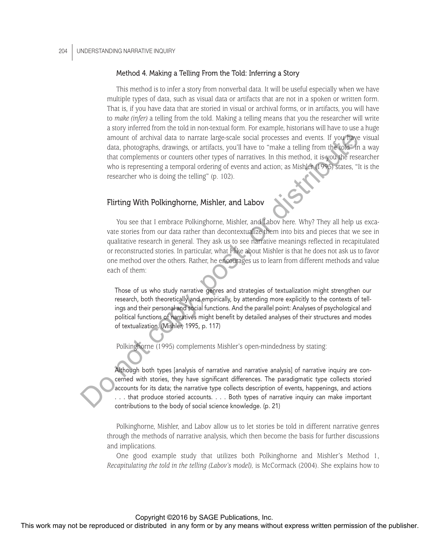#### Method 4. Making a Telling From the Told: Inferring a Story

This method is to infer a story from nonverbal data. It will be useful especially when we have multiple types of data, such as visual data or artifacts that are not in a spoken or written form. That is, if you have data that are storied in visual or archival forms, or in artifacts, you will have to *make (infer)* a telling from the told. Making a telling means that you the researcher will write a story inferred from the told in non-textual form. For example, historians will have to use a huge amount of archival data to narrate large-scale social processes and events. If you have visual data, photographs, drawings, or artifacts, you'll have to "make a telling from the told" in a way that complements or counters other types of narratives. In this method, it is you the researcher who is representing a temporal ordering of events and action; as Mishler (1995) states, "It is the researcher who is doing the telling" (p. 102).

### Flirting With Polkinghorne, Mishler, and Labov

You see that I embrace Polkinghorne, Mishler, and Labov here. Why? They all help us excavate stories from our data rather than decontextualize them into bits and pieces that we see in qualitative research in general. They ask us to see narrative meanings reflected in recapitulated or reconstructed stories. In particular, what Hike about Mishler is that he does not ask us to favor one method over the others. Rather, he encourages us to learn from different methods and value each of them: This work may not be reproduced or distributed in any form or by any means with the publishers with the publisher or or or or or or any the publisher or or or or or or or or or or or by any form or or or or or or or or b

Those of us who study narrative genres and strategies of textualization might strengthen our research, both theoretically and empirically, by attending more explicitly to the contexts of tellings and their personal and social functions. And the parallel point: Analyses of psychological and political functions of narratives might benefit by detailed analyses of their structures and modes of textualization. (Mishler, 1995, p. 117)

Polkinghorne (1995) complements Mishler's open-mindedness by stating:

Although both types [analysis of narrative and narrative analysis] of narrative inquiry are concerned with stories, they have significant differences. The paradigmatic type collects storied accounts for its data; the narrative type collects description of events, happenings, and actions ... that produce storied accounts.... Both types of narrative inquiry can make important contributions to the body of social science knowledge. (p. 21)

Polkinghorne, Mishler, and Labov allow us to let stories be told in different narrative genres through the methods of narrative analysis, which then become the basis for further discussions and implications.

One good example study that utilizes both Polkinghorne and Mishler's Method 1, *Recapitulating the told in the telling (Labov's model),* is McCormack (2004). She explains how to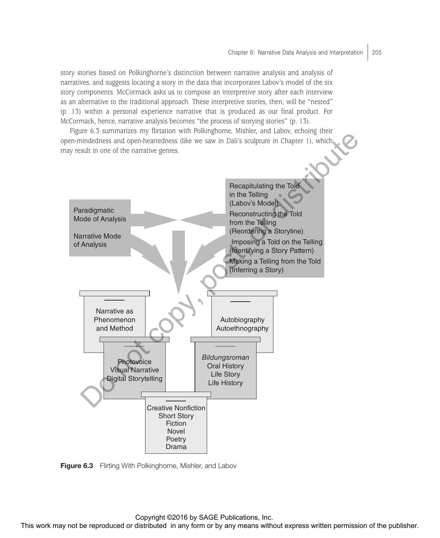story stories based on Polkinghorne's distinction between narrative analysis and analysis of narratives, and suggests locating a story in the data that incorporates Labov's model of the six story components. McCormack asks us to compose an interpretive story after each interview as an alternative to the traditional approach. These interpretive stories, then, will be "nested" (p. 13) within a personal experience narrative that is produced as our final product. For McCormack, hence, narrative analysis becomes "the process of storying stories" (p. 13).

Figure 6.3 summarizes my flirtation with Polkinghorne, Mishler, and Labov, echoing their open-mindedness and open-heartedness (like we saw in Dali's sculpture in Chapter 1), which may result in one of the narrative genres.



Figure 6.3 Flirting With Polkinghorne, Mishler, and Labov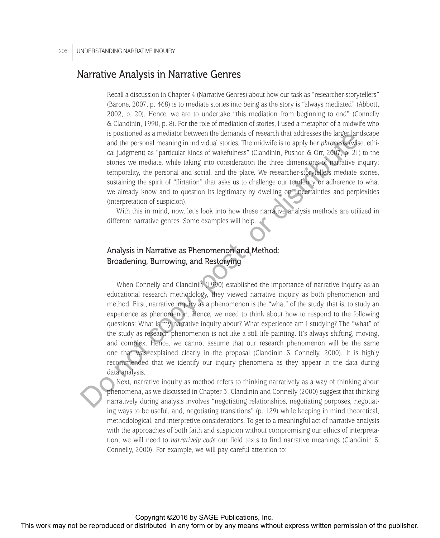# Narrative Analysis in Narrative Genres

Recall a discussion in Chapter 4 (Narrative Genres) about how our task as "researcher-storytellers" (Barone, 2007, p. 468) is to mediate stories into being as the story is "always mediated" (Abbott, 2002, p. 20). Hence, we are to undertake "this mediation from beginning to end" (Connelly & Clandinin, 1990, p. 8). For the role of mediation of stories, I used a metaphor of a midwife who is positioned as a mediator between the demands of research that addresses the larger landscape and the personal meaning in individual stories. The midwife is to apply her *phronesis* (wise, ethical judgment) as "particular kinds of wakefulness" (Clandinin, Pushor, & Orr, 2007, p. 21) to the stories we mediate, while taking into consideration the three dimensions of narrative inquiry: temporality, the personal and social, and the place. We researcher-storytellers mediate stories, sustaining the spirit of "flirtation" that asks us to challenge our tendency or adherence to what we already know and to question its legitimacy by dwelling on uncertainties and perplexities (interpretation of suspicion).

With this in mind, now, let's look into how these narrative analysis methods are utilized in different narrative genres. Some examples will help.

## Analysis in Narrative as Phenomenon and Method: Broadening, Burrowing, and Restorying

When Connelly and Clandinin (1990) established the importance of narrative inquiry as an educational research methodology, they viewed narrative inquiry as both phenomenon and method. First, narrative inquiry as a phenomenon is the "what" of the study, that is, to study an experience as phenomenon. Hence, we need to think about how to respond to the following questions: What is my narrative inquiry about? What experience am I studying? The "what" of the study as research phenomenon is not like a still life painting. It's always shifting, moving, and complex. Hence, we cannot assume that our research phenomenon will be the same one that was explained clearly in the proposal (Clandinin  $\&$  Connelly, 2000). It is highly recommended that we identify our inquiry phenomena as they appear in the data during data analysis. Special or a considered or the repression of the repression of the regulator or by any means with the reproduced or any form or by any means with the results of the results of the results of the publisher. The results were

Next, narrative inquiry as method refers to thinking narratively as a way of thinking about phenomena, as we discussed in Chapter 3. Clandinin and Connelly (2000) suggest that thinking narratively during analysis involves "negotiating relationships, negotiating purposes, negotiating ways to be useful, and, negotiating transitions" (p. 129) while keeping in mind theoretical, methodological, and interpretive considerations. To get to a meaningful act of narrative analysis with the approaches of both faith and suspicion without compromising our ethics of interpretation, we will need to *narratively code* our field texts to find narrative meanings (Clandinin & Connelly, 2000). For example, we will pay careful attention to: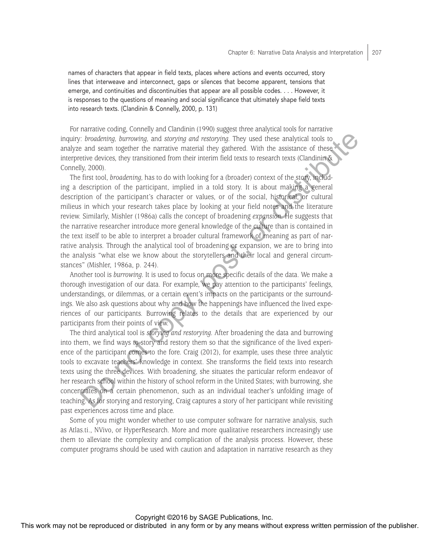names of characters that appear in field texts, places where actions and events occurred, story lines that interweave and interconnect, gaps or silences that become apparent, tensions that emerge, and continuities and discontinuities that appear are all possible codes. . . . However, it is responses to the questions of meaning and social significance that ultimately shape field texts into research texts. (Clandinin & Connelly, 2000, p. 131)

For narrative coding, Connelly and Clandinin (1990) suggest three analytical tools for narrative inquiry: *broadening, burrowing,* and *storying and restorying.* They used these analytical tools to analyze and seam together the narrative material they gathered. With the assistance of these interpretive devices, they transitioned from their interim field texts to research texts (Clandinin & Connelly, 2000).

The first tool, *broadening,* has to do with looking for a (broader) context of the story, including a description of the participant, implied in a told story. It is about making a general description of the participant's character or values, or of the social, historical, or cultural milieus in which your research takes place by looking at your field notes and the literature review. Similarly, Mishler (1986a) calls the concept of broadening *expansion.* He suggests that the narrative researcher introduce more general knowledge of the culture than is contained in the text itself to be able to interpret a broader cultural framework of meaning as part of narrative analysis. Through the analytical tool of broadening or expansion, we are to bring into the analysis "what else we know about the storytellers and their local and general circumstances" (Mishler, 1986a, p. 244). The most may be reproduced or distributed or distributed or distributed in any form or by any form or distributed by the reproduced or distributed by the reproduced or distributed by any or by the reproduced control of the

Another tool is *burrowing.* It is used to focus on more specific details of the data. We make a thorough investigation of our data. For example, we pay attention to the participants' feelings, understandings, or dilemmas, or a certain event's impacts on the participants or the surroundings. We also ask questions about why and how the happenings have influenced the lived experiences of our participants. Burrowing relates to the details that are experienced by our participants from their points of view.

The third analytical tool is *storying and restorying.* After broadening the data and burrowing into them, we find ways to story and restory them so that the significance of the lived experience of the participant comes to the fore. Craig (2012), for example, uses these three analytic tools to excavate teachers' knowledge in context. She transforms the field texts into research texts using the three devices. With broadening, she situates the particular reform endeavor of her research school within the history of school reform in the United States; with burrowing, she concentrates on a certain phenomenon, such as an individual teacher's unfolding image of teaching. As for storying and restorying, Craig captures a story of her participant while revisiting past experiences across time and place.

Some of you might wonder whether to use computer software for narrative analysis, such as Atlas.ti., NVivo, or HyperResearch. More and more qualitative researchers increasingly use them to alleviate the complexity and complication of the analysis process. However, these computer programs should be used with caution and adaptation in narrative research as they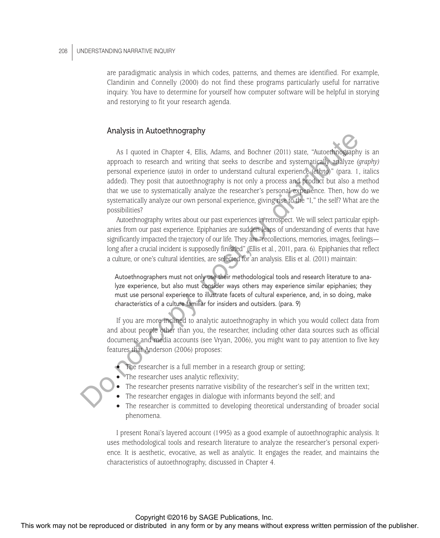are paradigmatic analysis in which codes, patterns, and themes are identified. For example, Clandinin and Connelly (2000) do not find these programs particularly useful for narrative inquiry. You have to determine for yourself how computer software will be helpful in storying and restorying to fit your research agenda.

#### Analysis in Autoethnography

As I quoted in Chapter 4, Ellis, Adams, and Bochner (2011) state, "Autoethnography is an approach to research and writing that seeks to describe and systematically analyze *(graphy)* personal experience (*auto*) in order to understand cultural experience (*ethno*)" (para. 1, italics added). They posit that autoethnography is not only a process and product but also a method that we use to systematically analyze the researcher's personal experience. Then, how do we systematically analyze our own personal experience, giving rise to the "I," the self? What are the possibilities? This work may not be reproduced or distribution of the reproduced or distributed in any form or by any means without express without express without express without the publisher. This will be reproduced in any form or by

Autoethnography writes about our past experiences in retrospect. We will select particular epiphanies from our past experience. Epiphanies are sudden leaps of understanding of events that have significantly impacted the trajectory of our life. They are "recollections, memories, images, feelings long after a crucial incident is supposedly finished" (Ellis et al., 2011, para. 6). Epiphanies that reflect a culture, or one's cultural identities, are selected for an analysis. Ellis et al. (2011) maintain:

Autoethnographers must not only use their methodological tools and research literature to analyze experience, but also must consider ways others may experience similar epiphanies; they must use personal experience to illustrate facets of cultural experience, and, in so doing, make characteristics of a culture familiar for insiders and outsiders. (para. 9)

If you are more inclined to analytic autoethnography in which you would collect data from and about people other than you, the researcher, including other data sources such as official documents and media accounts (see Vryan, 2006), you might want to pay attention to five key features that Anderson (2006) proposes:

- The researcher is a full member in a research group or setting;
- The researcher uses analytic reflexivity;
- The researcher presents narrative visibility of the researcher's self in the written text;
- The researcher engages in dialogue with informants beyond the self; and
- The researcher is committed to developing theoretical understanding of broader social phenomena.

I present Ronai's layered account (1995) as a good example of autoethnographic analysis. It uses methodological tools and research literature to analyze the researcher's personal experience. It is aesthetic, evocative, as well as analytic. It engages the reader, and maintains the characteristics of autoethnography, discussed in Chapter 4.

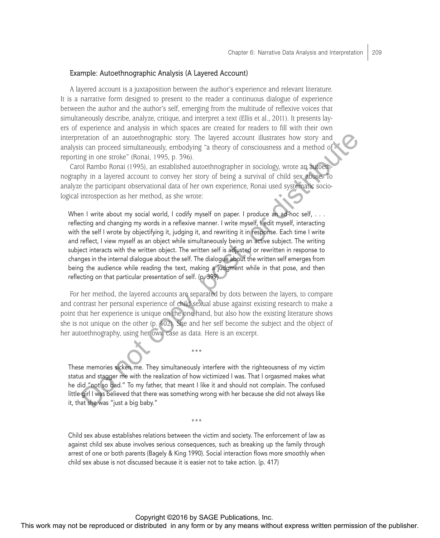#### Example: Autoethnographic Analysis (A Layered Account)

A layered account is a juxtaposition between the author's experience and relevant literature. It is a narrative form designed to present to the reader a continuous dialogue of experience between the author and the author's self, emerging from the multitude of reflexive voices that simultaneously describe, analyze, critique, and interpret a text (Ellis et al., 2011). It presents layers of experience and analysis in which spaces are created for readers to fill with their own interpretation of an autoethnographic story. The layered account illustrates how story and analysis can proceed simultaneously, embodying "a theory of consciousness and a method of reporting in one stroke" (Ronai, 1995, p. 396).

Carol Rambo Ronai (1995), an established autoethnographer in sociology, wrote an autoethnography in a layered account to convey her story of being a survival of child sex abuse. To analyze the participant observational data of her own experience, Ronai used systematic sociological introspection as her method, as she wrote:

When I write about my social world, I codify myself on paper. I produce an ad-hoc self, . . . reflecting and changing my words in a reflexive manner. I write myself, I edit myself, interacting with the self I wrote by objectifying it, judging it, and rewriting it in response. Each time I write and reflect, I view myself as an object while simultaneously being an active subject. The writing subject interacts with the written object. The written self is adjusted or rewritten in response to changes in the internal dialogue about the self. The dialogue about the written self emerges from being the audience while reading the text, making a judgment while in that pose, and then reflecting on that particular presentation of self. (p. 399) Interpretation of or an underludently solving The logistic about Distributed in any form or any means with permission or any form or any form or any form or by any form or by any form or by any form or by any form or by a

For her method, the layered accounts are separated by dots between the layers, to compare and contrast her personal experience of child sexual abuse against existing research to make a point that her experience is unique on the one hand, but also how the existing literature shows she is not unique on the other (p. 402). She and her self become the subject and the object of her autoethnography, using her own case as data. Here is an excerpt.

These memories sicken me. They simultaneously interfere with the righteousness of my victim status and stagger me with the realization of how victimized I was. That I orgasmed makes what he did "not so bad." To my father, that meant I like it and should not complain. The confused little girl I was believed that there was something wrong with her because she did not always like it, that she was "just a big baby."

\*\*\*

Child sex abuse establishes relations between the victim and society. The enforcement of law as against child sex abuse involves serious consequences, such as breaking up the family through arrest of one or both parents (Bagely & King 1990). Social interaction flows more smoothly when child sex abuse is not discussed because it is easier not to take action. (p. 417)

\*\*\*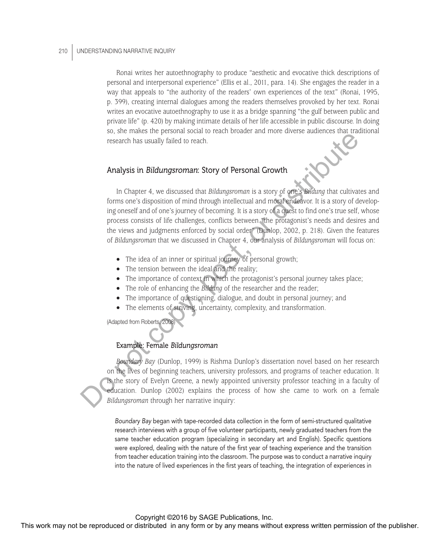Ronai writes her autoethnography to produce "aesthetic and evocative thick descriptions of personal and interpersonal experience" (Ellis et al., 2011, para. 14). She engages the reader in a way that appeals to "the authority of the readers' own experiences of the text" (Ronai, 1995, p. 399), creating internal dialogues among the readers themselves provoked by her text. Ronai writes an evocative autoethnography to use it as a bridge spanning "the gulf between public and private life" (p. 420) by making intimate details of her life accessible in public discourse. In doing so, she makes the personal social to reach broader and more diverse audiences that traditional research has usually failed to reach.

#### Analysis in Bildungsroman: Story of Personal Growth

In Chapter 4, we discussed that *Bildungsroman* is a story of one's *Bildung* that cultivates and forms one's disposition of mind through intellectual and moral endeavor. It is a story of developing oneself and of one's journey of becoming. It is a story of a quest to find one's true self, whose process consists of life challenges, conflicts between "the protagonist's needs and desires and the views and judgments enforced by social order" (Dunlop, 2002, p. 218). Given the features of *Bildungsroman* that we discussed in Chapter 4, our analysis of *Bildungsroman* will focus on: The most may not be reproduced or distributed in any form or by any means without express with any means of the publisher of the publisher or any form or by any form or by any form or by any means with distribution of the

- The idea of an inner or spiritual journey of personal growth;
- The tension between the ideal and the reality;
- The importance of context in which the protagonist's personal journey takes place;
- The role of enhancing the *Bildung* of the researcher and the reader;
- The importance of questioning, dialogue, and doubt in personal journey; and
- The elements of striving, uncertainty, complexity, and transformation.

(Adapted from Roberts, 2008)

#### Example: Female Bildungsroman

*Boundary Bay* (Dunlop, 1999) is Rishma Dunlop's dissertation novel based on her research on the lives of beginning teachers, university professors, and programs of teacher education. It is the story of Evelyn Greene, a newly appointed university professor teaching in a faculty of education. Dunlop (2002) explains the process of how she came to work on a female *Bildungsroman* through her narrative inquiry:

*Boundary Bay* began with tape-recorded data collection in the form of semi-structured qualitative research interviews with a group of five volunteer participants, newly graduated teachers from the same teacher education program (specializing in secondary art and English). Specific questions were explored, dealing with the nature of the first year of teaching experience and the transition from teacher education training into the classroom. The purpose was to conduct a narrative inquiry into the nature of lived experiences in the first years of teaching, the integration of experiences in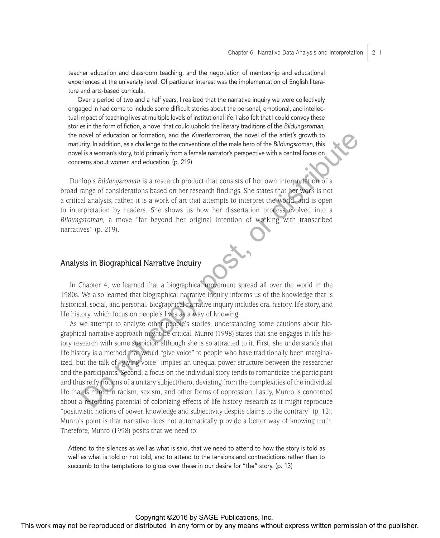teacher education and classroom teaching, and the negotiation of mentorship and educational experiences at the university level. Of particular interest was the implementation of English literature and arts-based curricula.

Over a period of two and a half years, I realized that the narrative inquiry we were collectively engaged in had come to include some difficult stories about the personal, emotional, and intellectual impact of teaching lives at multiple levels of institutional life. I also felt that I could convey these stories in the form of fiction, a novel that could uphold the literary traditions of the *Bildungsroman,* the novel of education or formation, and the *Künstlerroman,* the novel of the artist's growth to maturity. In addition, as a challenge to the conventions of the male hero of the *Bildungsroman,* this novel is a woman's story, told primarily from a female narrator's perspective with a central focus on concerns about women and education. (p. 219)

Dunlop's *Bildungsroman* is a research product that consists of her own interpretation of a broad range of considerations based on her research findings. She states that her work is not a critical analysis; rather, it is a work of art that attempts to interpret the world, and is open to interpretation by readers. She shows us how her dissertation process evolved into a *Bildungsroman,* a move "far beyond her original intention of working with transcribed narratives" (p. 219).

#### Analysis in Biographical Narrative Inquiry

In Chapter 4, we learned that a biographical movement spread all over the world in the 1980s. We also learned that biographical narrative inquiry informs us of the knowledge that is historical, social, and personal. Biographical narrative inquiry includes oral history, life story, and life history, which focus on people's lives as a way of knowing.

As we attempt to analyze other people's stories, understanding some cautions about biographical narrative approach might be critical. Munro (1998) states that she engages in life history research with some suspicion although she is so attracted to it. First, she understands that life history is a method that would "give voice" to people who have traditionally been marginalized, but the talk of "giving voice" implies an unequal power structure between the researcher and the participants. Second, a focus on the individual story tends to romanticize the participant and thus reify notions of a unitary subject/hero, deviating from the complexities of the individual life that is mired in racism, sexism, and other forms of oppression. Lastly, Munro is concerned about a reiterating potential of colonizing effects of life history research as it might reproduce "positivistic notions of power, knowledge and subjectivity despite claims to the contrary" (p. 12). Munro's point is that narrative does not automatically provide a better way of knowing truth. Therefore, Munro (1998) posits that we need to: The cool of obsering the constraints and or distributed or distributed in any form or by any means with a set of the stributed in any form or by any means with permission or  $\sim$  0.0000 may not constrained in a mean of th

Attend to the silences as well as what is said, that we need to attend to how the story is told as well as what is told or not told, and to attend to the tensions and contradictions rather than to succumb to the temptations to gloss over these in our desire for "the" story. (p. 13)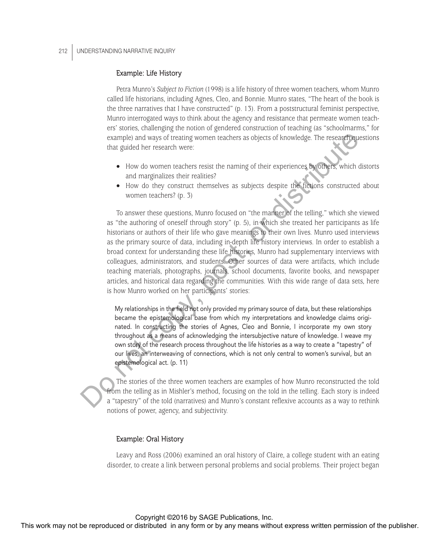#### Example: Life History

Petra Munro's *Subject to Fiction* (1998) is a life history of three women teachers, whom Munro called life historians, including Agnes, Cleo, and Bonnie. Munro states, "The heart of the book is the three narratives that I have constructed" (p. 13). From a poststructural feminist perspective, Munro interrogated ways to think about the agency and resistance that permeate women teachers' stories, challenging the notion of gendered construction of teaching (as "schoolmarms," for example) and ways of treating women teachers as objects of knowledge. The research questions that guided her research were:

- How do women teachers resist the naming of their experiences by others, which distorts and marginalizes their realities?
- How do they construct themselves as subjects despite the fictions constructed about women teachers? (p. 3)

To answer these questions, Munro focused on "the manner of the telling," which she viewed as "the authoring of oneself through story" (p. 5), in which she treated her participants as life historians or authors of their life who gave meanings to their own lives. Munro used interviews as the primary source of data, including in-depth life history interviews. In order to establish a broad context for understanding these life histories, Munro had supplementary interviews with colleagues, administrators, and students. Other sources of data were artifacts, which include teaching materials, photographs, journals, school documents, favorite books, and newspaper articles, and historical data regarding the communities. With this wide range of data sets, here is how Munro worked on her participants' stories: Example or distributed or distributed or distributed in any form or by any means with permission or distributed in any form or by any means without express to the produced or the produced or distributed in any form or by

My relationships in the field not only provided my primary source of data, but these relationships became the epistemological base from which my interpretations and knowledge claims originated. In constructing the stories of Agnes, Cleo and Bonnie, I incorporate my own story throughout as a means of acknowledging the intersubjective nature of knowledge. I weave my own story of the research process throughout the life histories as a way to create a "tapestry" of our lives, an interweaving of connections, which is not only central to women's survival, but an epistemological act. (p. 11)

The stories of the three women teachers are examples of how Munro reconstructed the told from the telling as in Mishler's method, focusing on the told in the telling. Each story is indeed a "tapestry" of the told (narratives) and Munro's constant reflexive accounts as a way to rethink notions of power, agency, and subjectivity.

#### Example: Oral History

Leavy and Ross (2006) examined an oral history of Claire, a college student with an eating disorder, to create a link between personal problems and social problems. Their project began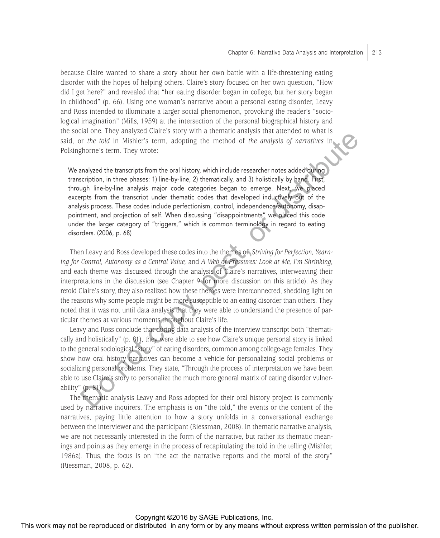because Claire wanted to share a story about her own battle with a life-threatening eating disorder with the hopes of helping others. Claire's story focused on her own question, "How did I get here?" and revealed that "her eating disorder began in college, but her story began in childhood" (p. 66). Using one woman's narrative about a personal eating disorder, Leavy and Ross intended to illuminate a larger social phenomenon, provoking the reader's "sociological imagination" (Mills, 1959) at the intersection of the personal biographical history and the social one. They analyzed Claire's story with a thematic analysis that attended to what is said, or *the told* in Mishler's term, adopting the method of *the analysis of narratives* in Polkinghorne's term. They wrote:

We analyzed the transcripts from the oral history, which include researcher notes added during transcription, in three phases: 1) line-by-line, 2) thematically, and 3) holistically by hand. First, through line-by-line analysis major code categories began to emerge. Next, we placed excerpts from the transcript under thematic codes that developed inductively out of the analysis process. These codes include perfectionism, control, independence/autonomy, disappointment, and projection of self. When discussing "disappointments" we placed this code under the larger category of "triggers," which is common terminology in regard to eating disorders. (2006, p. 68)

Then Leavy and Ross developed these codes into the themes of: *Striving for Perfection, Yearning for Control, Autonomy as a Central Value,* and *A Web of Pressures: Look at Me, I'm Shrinking,* and each theme was discussed through the analysis of Claire's narratives, interweaving their interpretations in the discussion (see Chapter 9 for more discussion on this article). As they retold Claire's story, they also realized how these themes were interconnected, shedding light on the reasons why some people might be more susceptible to an eating disorder than others. They noted that it was not until data analysis that they were able to understand the presence of particular themes at various moments throughout Claire's life. suit, or the publish may not be reproduced or distributed or the reproduced or distributed in any form or by any means with the publisher of the publisher of the publisher of the publisher of the publisher of the publishe

Leavy and Ross conclude that during data analysis of the interview transcript both "thematically and holistically" (p. 81), they were able to see how Claire's unique personal story is linked to the general sociological "story" of eating disorders, common among college-age females. They show how oral history narratives can become a vehicle for personalizing social problems or socializing personal problems. They state, "Through the process of interpretation we have been able to use Claire's story to personalize the much more general matrix of eating disorder vulnerability" (p. 81).

The thematic analysis Leavy and Ross adopted for their oral history project is commonly used by narrative inquirers. The emphasis is on "the told," the events or the content of the narratives, paying little attention to how a story unfolds in a conversational exchange between the interviewer and the participant (Riessman, 2008). In thematic narrative analysis, we are not necessarily interested in the form of the narrative, but rather its thematic meanings and points as they emerge in the process of recapitulating the told in the telling (Mishler, 1986a). Thus, the focus is on "the act the narrative reports and the moral of the story" (Riessman, 2008, p. 62).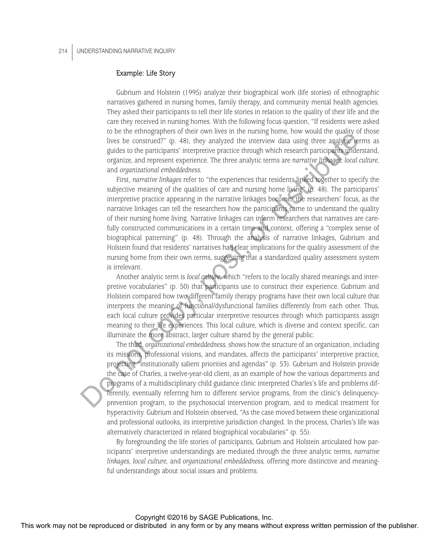#### Example: Life Story

Gubrium and Holstein (1995) analyze their biographical work (life stories) of ethnographic narratives gathered in nursing homes, family therapy, and community mental health agencies. They asked their participants to tell their life stories in relation to the quality of their life and the care they received in nursing homes. With the following focus question, "If residents were asked to be the ethnographers of their own lives in the nursing home, how would the quality of those lives be construed?" (p. 48), they analyzed the interview data using three analytic terms as guides to the participants' interpretive practice through which research participants understand, organize, and represent experience. The three analytic terms are *narrative linkages, local culture,* and *organizational embeddedness.*

First, *narrative linkages* refer to "the experiences that residents linked together to specify the subjective meaning of the qualities of care and nursing home living" (p. 48). The participants' interpretive practice appearing in the narrative linkages becomes the researchers' focus, as the narrative linkages can tell the researchers how the participants came to understand the quality of their nursing home living. Narrative linkages can inform researchers that narratives are carefully constructed communications in a certain time and context, offering a "complex sense of biographical patterning" (p. 48). Through the analysis of narrative linkages, Gubrium and Holstein found that residents' narratives had clear implications for the quality assessment of the nursing home from their own terms, suggesting that a standardized quality assessment system is irrelevant.

Another analytic term is *local culture,* which "refers to the locally shared meanings and interpretive vocabularies" (p. 50) that participants use to construct their experience. Gubrium and Holstein compared how two different family therapy programs have their own local culture that interprets the meaning of functional/dysfunctional families differently from each other. Thus, each local culture provides particular interpretive resources through which participants assign meaning to their life experiences. This local culture, which is diverse and context specific, can illuminate the more abstract, larger culture shared by the general public.

The third, *organizational embeddedness,* shows how the structure of an organization, including its missions, professional visions, and mandates, affects the participants' interpretive practice, projecting "institutionally salient priorities and agendas" (p. 53). Gubrium and Holstein provide the case of Charles, a twelve-year-old client, as an example of how the various departments and programs of a multidisciplinary child guidance clinic interpreted Charles's life and problems differently, eventually referring him to different service programs, from the clinic's delinquencyprevention program, to the psychosocial intervention program, and to medical treatment for hyperactivity. Gubrium and Holstein observed, "As the case moved between these organizational and professional outlooks, its interpretive jurisdiction changed. In the process, Charles's life was alternatively characterized in related biographical vocabularies" (p. 55). The may not by a better or the state or distributed or distributed in any form or by any form or by any form or by any form or by any means without the publisher and reproduced the publisher. The may not computed in any f

By foregrounding the life stories of participants, Gubrium and Holstein articulated how participants' interpretive understandings are mediated through the three analytic terms, *narrative linkages, local culture,* and *organizational embeddedness,* offering more distinctive and meaningful understandings about social issues and problems.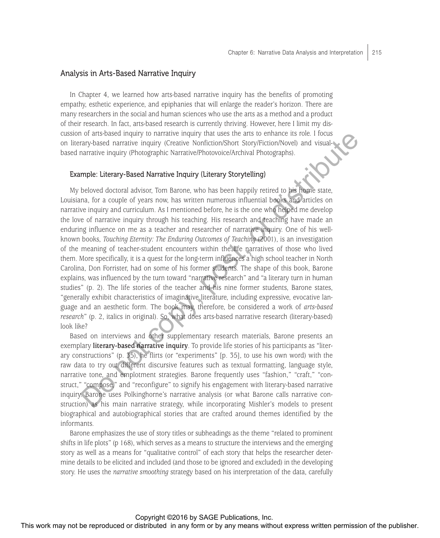#### Analysis in Arts-Based Narrative Inquiry

In Chapter 4, we learned how arts-based narrative inquiry has the benefits of promoting empathy, esthetic experience, and epiphanies that will enlarge the reader's horizon. There are many researchers in the social and human sciences who use the arts as a method and a product of their research. In fact, arts-based research is currently thriving. However, here I limit my discussion of arts-based inquiry to narrative inquiry that uses the arts to enhance its role. I focus on literary-based narrative inquiry (Creative Nonfiction/Short Story/Fiction/Novel) and visualbased narrative inquiry (Photographic Narrative/Photovoice/Archival Photographs).

#### Example: Literary-Based Narrative Inquiry (Literary Storytelling)

My beloved doctoral advisor, Tom Barone, who has been happily retired to his home state, Louisiana, for a couple of years now, has written numerous influential books and articles on narrative inquiry and curriculum. As I mentioned before, he is the one who helped me develop the love of narrative inquiry through his teaching. His research and teaching have made an enduring influence on me as a teacher and researcher of narrative inquiry. One of his wellknown books, *Touching Eternity: The Enduring Outcomes of Teaching* (2001), is an investigation of the meaning of teacher-student encounters within the life narratives of those who lived them. More specifically, it is a quest for the long-term influences a high school teacher in North Carolina, Don Forrister, had on some of his former students. The shape of this book, Barone explains, was influenced by the turn toward "narrative research" and "a literary turn in human studies" (p. 2). The life stories of the teacher and his nine former students, Barone states, "generally exhibit characteristics of imaginative literature, including expressive, evocative language and an aesthetic form. The book may, therefore, be considered a work of *arts-based research*" (p. 2, italics in original). So, what does arts-based narrative research (literary-based) look like? Or the research of the results of the reproduced or distributed in any form or by any form or by any form or by any means when  $\theta$  is the results of the results of the publisher or the publisher of the publisher or the p

Based on interviews and other supplementary research materials, Barone presents an exemplary **literary-based narrative inquiry**. To provide life stories of his participants as "literary constructions" (p. 35), he flirts (or "experiments" [p. 35], to use his own word) with the raw data to try out different discursive features such as textual formatting, language style, narrative tone, and emplotment strategies. Barone frequently uses "fashion," "craft," "construct," "compose," and "reconfigure" to signify his engagement with literary-based narrative inquiry. Barone uses Polkinghorne's narrative analysis (or what Barone calls narrative construction) as his main narrative strategy, while incorporating Mishler's models to present biographical and autobiographical stories that are crafted around themes identified by the informants.

Barone emphasizes the use of story titles or subheadings as the theme "related to prominent shifts in life plots" (p 168), which serves as a means to structure the interviews and the emerging story as well as a means for "qualitative control" of each story that helps the researcher determine details to be elicited and included (and those to be ignored and excluded) in the developing story. He uses the *narrative smoothing* strategy based on his interpretation of the data, carefully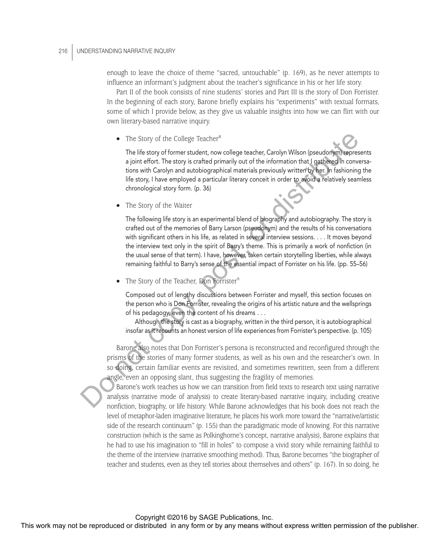enough to leave the choice of theme "sacred, untouchable" (p. 169), as he never attempts to influence an informant's judgment about the teacher's significance in his or her life story.

Part II of the book consists of nine students' stories and Part III is the story of Don Forrister. In the beginning of each story, Barone briefly explains his "experiments" with textual formats, some of which I provide below, as they give us valuable insights into how we can flirt with our own literary-based narrative inquiry.

• The Story of the College Teacher<sup>8</sup>

The life story of former student, now college teacher, Carolyn Wilson (pseudonym) represents a joint effort. The story is crafted primarily out of the information that I gathered in conversations with Carolyn and autobiographical materials previously written by her. In fashioning the life story, I have employed a particular literary conceit in order to avoid a relatively seamless chronological story form. (p. 36)

The Story of the Waiter

The following life story is an experimental blend of biography and autobiography. The story is crafted out of the memories of Barry Larson (pseudonym) and the results of his conversations with significant others in his life, as related in several interview sessions. . . . It moves beyond the interview text only in the spirit of Barry's theme. This is primarily a work of nonfiction (in the usual sense of that term). I have, however, taken certain storytelling liberties, while always remaining faithful to Barry's sense of the essential impact of Forrister on his life. (pp. 55–56)

The Story of the Teacher, Don Forrister<sup>9</sup>

Composed out of lengthy discussions between Forrister and myself, this section focuses on the person who is Don Forrister, revealing the origins of his artistic nature and the wellsprings of his pedagogy, even the content of his dreams . . .

Although the story is cast as a biography, written in the third person, it is autobiographical insofar as it recounts an honest version of life experiences from Forrister's perspective. (p. 105)

Barone also notes that Don Forrister's persona is reconstructed and reconfigured through the prisms of the stories of many former students, as well as his own and the researcher's own. In so doing, certain familiar events are revisited, and sometimes rewritten, seen from a different angle, even an opposing slant, thus suggesting the fragility of memories.

Barone's work teaches us how we can transition from field texts to research text using narrative analysis (narrative mode of analysis) to create literary-based narrative inquiry, including creative nonfiction, biography, or life history. While Barone acknowledges that his book does not reach the level of metaphor-laden imaginative literature, he places his work more toward the "narrative/artistic side of the research continuum" (p. 155) than the paradigmatic mode of knowing. For this narrative construction (which is the same as Polkinghorne's concept, narrative analysis), Barone explains that he had to use his imagination to "fill in holes" to compose a vivid story while remaining faithful to the theme of the interview (narrative smoothing method). Thus, Barone becomes "the biographer of teacher and students, even as they tell stories about themselves and others" (p. 167). In so doing, he • The college of the college transfer may not be reproduced or distributed in any form or by any means without express without express with the publisher and the publisher and the publisher. The same survey is the stribut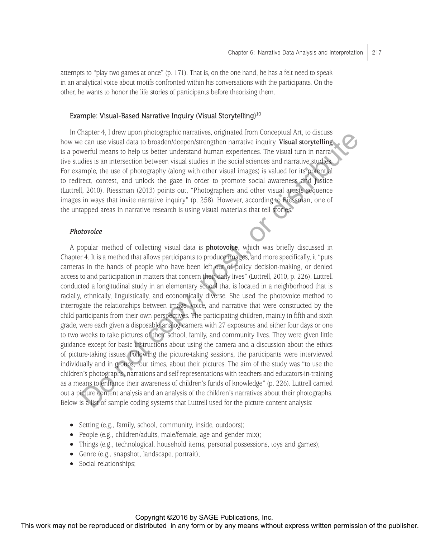attempts to "play two games at once" (p. 171). That is, on the one hand, he has a felt need to speak in an analytical voice about motifs confronted within his conversations with the participants. On the other, he wants to honor the life stories of participants before theorizing them.

#### Example: Visual-Based Narrative Inquiry (Visual Storytelling) $10$

In Chapter 4, I drew upon photographic narratives, originated from Conceptual Art, to discuss how we can use visual data to broaden/deepen/strengthen narrative inquiry. **Visual storytelling** is a powerful means to help us better understand human experiences. The visual turn in narrative studies is an intersection between visual studies in the social sciences and narrative studies. For example, the use of photography (along with other visual images) is valued for its potential to redirect, contest, and unlock the gaze in order to promote social awareness and justice (Luttrell, 2010). Riessman (2013) points out, "Photographers and other visual artists sequence images in ways that invite narrative inquiry" (p. 258). However, according to Riessman, one of the untapped areas in narrative research is using visual materials that tell stories.

#### *Photovoice*

A popular method of collecting visual data is **photovoice**, which was briefly discussed in Chapter 4. It is a method that allows participants to produce images, and more specifically, it "puts cameras in the hands of people who have been left out of policy decision-making, or denied access to and participation in matters that concern their daily lives" (Luttrell, 2010, p. 226). Luttrell conducted a longitudinal study in an elementary school that is located in a neighborhood that is racially, ethnically, linguistically, and economically diverse. She used the photovoice method to interrogate the relationships between image, voice, and narrative that were constructed by the child participants from their own perspectives. The participating children, mainly in fifth and sixth grade, were each given a disposable analog camera with 27 exposures and either four days or one to two weeks to take pictures of their school, family, and community lives. They were given little guidance except for basic instructions about using the camera and a discussion about the ethics of picture-taking issues. Following the picture-taking sessions, the participants were interviewed individually and in groups, four times, about their pictures. The aim of the study was "to use the children's photographs, narrations and self representations with teachers and educators-in-training as a means to enhance their awareness of children's funds of knowledge" (p. 226). Luttrell carried out a picture content analysis and an analysis of the children's narratives about their photographs. Below is a list of sample coding systems that Luttrell used for the picture content analysis: The repression of the reproduced or distributed in any form or by any means with  $\alpha$  consistent or  $\alpha$  be reproduced in any form or  $\alpha$  be reproduced in any form or by any means with  $\alpha$  be reproduced in any form or b

- Setting (e.g., family, school, community, inside, outdoors);
- People (e.g., children/adults, male/female, age and gender mix);
- Things (e.g., technological, household items, personal possessions, toys and games);
- Genre (e.g., snapshot, landscape, portrait);
- Social relationships;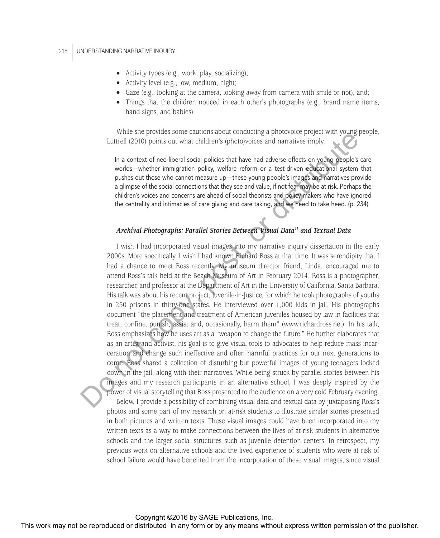#### 218 UNDERSTANDING NARRATIVE INQUIRY

- Activity types (e.g., work, play, socializing);
- Activity level (e.g., low, medium, high);
- Gaze (e.g., looking at the camera, looking away from camera with smile or not), and;
- Things that the children noticed in each other's photographs (e.g., brand name items, hand signs, and babies).

While she provides some cautions about conducting a photovoice project with young people, Luttrell (2010) points out what children's (photo)voices and narratives imply:

In a context of neo-liberal social policies that have had adverse effects on young people's care worlds—whether immigration policy, welfare reform or a test-driven educational system that pushes out those who cannot measure up—these young people's images and narratives provide a glimpse of the social connections that they see and value, if not fear may be at risk. Perhaps the children's voices and concerns are ahead of social theorists and policy makers who have ignored the centrality and intimacies of care giving and care taking, and we need to take heed. (p. 234)

#### *Archival Photographs: Parallel Stories Between Visual Data11 and Textual Data*

I wish I had incorporated visual images into my narrative inquiry dissertation in the early 2000s. More specifically, I wish I had known Richard Ross at that time. It was serendipity that I had a chance to meet Ross recently. My museum director friend, Linda, encouraged me to attend Ross's talk held at the Beach Museum of Art in February 2014. Ross is a photographer, researcher, and professor at the Department of Art in the University of California, Santa Barbara. His talk was about his recent project, Juvenile-in-Justice, for which he took photographs of youths in 250 prisons in thirty-one states. He interviewed over 1,000 kids in jail. His photographs document "the placement and treatment of American juveniles housed by law in facilities that treat, confine, punish, assist and, occasionally, harm them" (www.richardross.net). In his talk, Ross emphasizes how he uses art as a "weapon to change the future." He further elaborates that as an artist and activist, his goal is to give visual tools to advocates to help reduce mass incarceration and change such ineffective and often harmful practices for our next generations to come. Ross shared a collection of disturbing but powerful images of young teenagers locked down in the jail, along with their narratives. While being struck by parallel stories between his images and my research participants in an alternative school, I was deeply inspired by the power of visual storytelling that Ross presented to the audience on a very cold February evening. The repression of the reproduced or distributed in any form or by any means with the reproduced or distributed in any form or a statistic produced in any form or a statistic permission of the sole of the sole of the publi

Below, I provide a possibility of combining visual data and textual data by juxtaposing Ross's photos and some part of my research on at-risk students to illustrate similar stories presented in both pictures and written texts. These visual images could have been incorporated into my written texts as a way to make connections between the lives of at-risk students in alternative schools and the larger social structures such as juvenile detention centers. In retrospect, my previous work on alternative schools and the lived experience of students who were at risk of school failure would have benefited from the incorporation of these visual images, since visual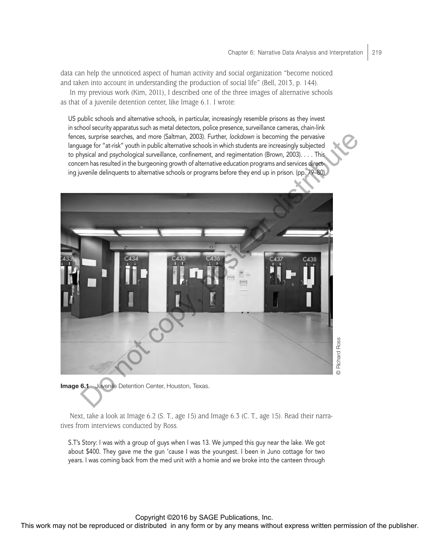data can help the unnoticed aspect of human activity and social organization "become noticed and taken into account in understanding the production of social life" (Bell, 2013, p. 144).

In my previous work (Kim, 2011), I described one of the three images of alternative schools as that of a juvenile detention center, like Image 6.1. I wrote:

US public schools and alternative schools, in particular, increasingly resemble prisons as they invest in school security apparatus such as metal detectors, police presence, surveillance cameras, chain-link fences, surprise searches, and more (Saltman, 2003). Further, *lockdown* is becoming the pervasive language for "at-risk" youth in public alternative schools in which students are increasingly subjected to physical and psychological surveillance, confinement, and regimentation (Brown, 2003). . . . This concern has resulted in the burgeoning growth of alternative education programs and services directing juvenile delinquents to alternative schools or programs before they end up in prison. (pp. 79–80)



Image 6.1 Juvenile Detention Center, Houston, Texas.

Next, take a look at Image 6.2 (S. T., age 15) and Image 6.3 (C. T., age 15). Read their narratives from interviews conducted by Ross.

S.T's Story: I was with a group of guys when I was 13. We jumped this guy near the lake. We got about \$400. They gave me the gun 'cause I was the youngest. I been in Juno cottage for two years. I was coming back from the med unit with a homie and we broke into the canteen through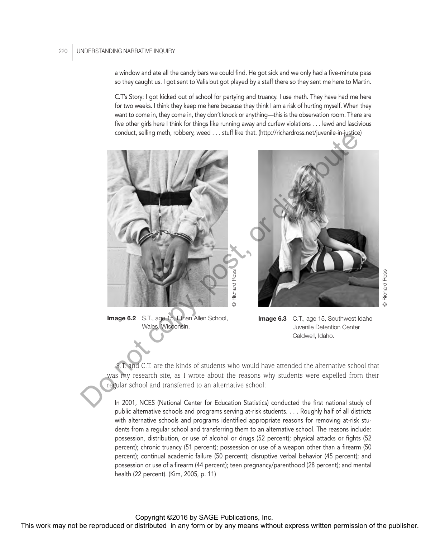a window and ate all the candy bars we could find. He got sick and we only had a five-minute pass so they caught us. I got sent to Valis but got played by a staff there so they sent me here to Martin.

C.T's Story: I got kicked out of school for partying and truancy. I use meth. They have had me here for two weeks. I think they keep me here because they think I am a risk of hurting myself. When they want to come in, they come in, they don't knock or anything—this is the observation room. There are five other girls here I think for things like running away and curfew violations . . . lewd and lascivious conduct, selling meth, robbery, weed . . . stuff like that. (http://richardross.net/juvenile-in-justice)



Image 6.2 S.T., age 15, Ethan Allen School, Wales, Wisconsin.

Image 6.3 C.T., age 15, Southwest Idaho Juvenile Detention Center Caldwell, Idaho.

T. and C.T. are the kinds of students who would have attended the alternative school that was my research site, as I wrote about the reasons why students were expelled from their regular school and transferred to an alternative school:

In 2001, NCES (National Center for Education Statistics) conducted the first national study of public alternative schools and programs serving at-risk students. . . . Roughly half of all districts with alternative schools and programs identified appropriate reasons for removing at-risk students from a regular school and transferring them to an alternative school. The reasons include: possession, distribution, or use of alcohol or drugs (52 percent); physical attacks or fights (52 percent); chronic truancy (51 percent); possession or use of a weapon other than a firearm (50 percent); continual academic failure (50 percent); disruptive verbal behavior (45 percent); and possession or use of a firearm (44 percent); teen pregnancy/parenthood (28 percent); and mental health (22 percent). (Kim, 2005, p. 11)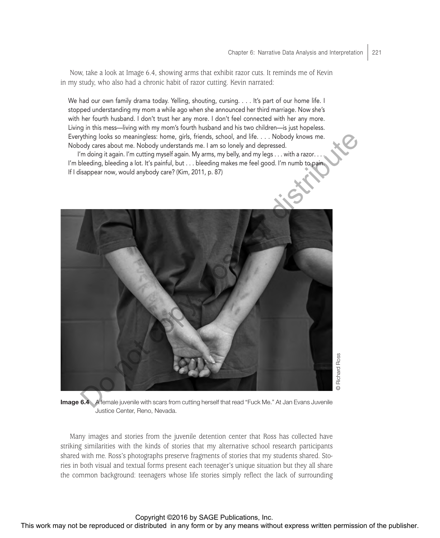Now, take a look at Image 6.4, showing arms that exhibit razor cuts. It reminds me of Kevin in my study, who also had a chronic habit of razor cutting. Kevin narrated:

We had our own family drama today. Yelling, shouting, cursing. . . . It's part of our home life. I stopped understanding my mom a while ago when she announced her third marriage. Now she's with her fourth husband. I don't trust her any more. I don't feel connected with her any more. Living in this mess—living with my mom's fourth husband and his two children—is just hopeless. Everything looks so meaningless: home, girls, friends, school, and life. . . . Nobody knows me. Nobody cares about me. Nobody understands me. I am so lonely and depressed.

I'm doing it again. I'm cutting myself again. My arms, my belly, and my legs . . . with a razor. . I'm bleeding, bleeding a lot. It's painful, but . . . bleeding makes me feel good. I'm numb to pain. If I disappear now, would anybody care? (Kim, 2011, p. 87)



Image 6.4 A female juvenile with scars from cutting herself that read "Fuck Me." At Jan Evans Juvenile Justice Center, Reno, Nevada.

Many images and stories from the juvenile detention center that Ross has collected have striking similarities with the kinds of stories that my alternative school research participants shared with me. Ross's photographs preserve fragments of stories that my students shared. Stories in both visual and textual forms present each teenager's unique situation but they all share the common background: teenagers whose life stories simply reflect the lack of surrounding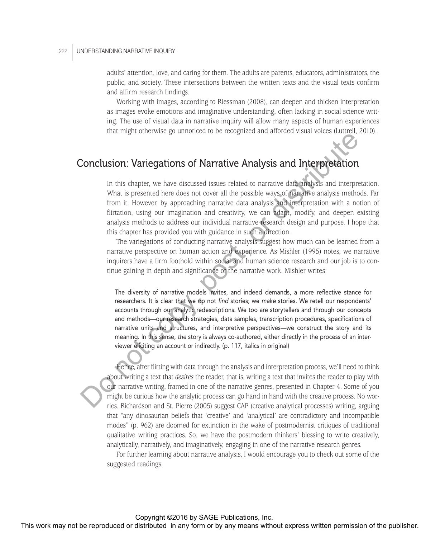adults' attention, love, and caring for them. The adults are parents, educators, administrators, the public, and society. These intersections between the written texts and the visual texts confirm and affirm research findings.

Working with images, according to Riessman (2008), can deepen and thicken interpretation as images evoke emotions and imaginative understanding, often lacking in social science writing. The use of visual data in narrative inquiry will allow many aspects of human experiences that might otherwise go unnoticed to be recognized and afforded visual voices (Luttrell, 2010).

# Conclusion: Variegations of Narrative Analysis and Interpretation

In this chapter, we have discussed issues related to narrative data analysis and interpretation. What is presented here does not cover all the possible ways of narrative analysis methods. Far from it. However, by approaching narrative data analysis and interpretation with a notion of flirtation, using our imagination and creativity, we can adapt, modify, and deepen existing analysis methods to address our individual narrative research design and purpose. I hope that this chapter has provided you with guidance in such a direction.

The variegations of conducting narrative analysis suggest how much can be learned from a narrative perspective on human action and experience. As Mishler (1995) notes, we narrative inquirers have a firm foothold within social and human science research and our job is to continue gaining in depth and significance of the narrative work. Mishler writes:

The diversity of narrative models invites, and indeed demands, a more reflective stance for researchers. It is clear that we do not *find* stories; we *make* stories. We retell our respondents' accounts through our analytic redescriptions. We too are storytellers and through our concepts and methods—our research strategies, data samples, transcription procedures, specifications of narrative units and structures, and interpretive perspectives—we construct the story and its meaning. In this sense, *the* story is always co-authored, either directly in the process of an interviewer eliciting an account or indirectly. (p. 117, italics in original)

Hence, after flirting with data through the analysis and interpretation process, we'll need to think about writing a text that *desires* the reader, that is, writing a text that invites the reader to play with our narrative writing, framed in one of the narrative genres, presented in Chapter 4. Some of you might be curious how the analytic process can go hand in hand with the creative process. No worries. Richardson and St. Pierre (2005) suggest CAP (creative analytical processes) writing, arguing that "any dinosaurian beliefs that 'creative' and 'analytical' are contradictory and incompatible modes" (p. 962) are doomed for extinction in the wake of postmodernist critiques of traditional qualitative writing practices. So, we have the postmodern thinkers' blessing to write creatively, analytically, narratively, and imaginatively, engaging in one of the narrative research genres. Conclusion is a measure of the responses of the reproduced or distributed in any form or by any measure permission any form or by any means when the reproduced in any form or by any form or by any form or by any form or b

For further learning about narrative analysis, I would encourage you to check out some of the suggested readings.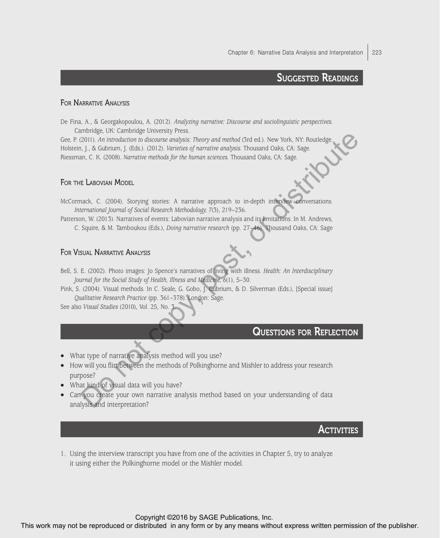# SUGGESTED READINGS

#### For Narrative Analysis

De Fina, A., & Georgakopoulou, A. (2012). *Analyzing narrative: Discourse and sociolinguistic perspectives.* Cambridge, UK: Cambridge University Press.

Gee, P. (2011). *An introduction to discourse analysis: Theory and method* (3rd ed.). New York, NY: Routledge. Holstein, J., & Gubrium, J. (Eds.). (2012). *Varieties of narrative analysis.* Thousand Oaks, CA: Sage. Riessman, C. K. (2008). *Narrative methods for the human sciences.* Thousand Oaks, CA: Sage. Co. C. F. 2011, A from or distributed in any form of the activities in Counter and W. The Poission or B. Associates without the publishers without express the content of the publishers. C. C. C. C. C. C. C. C. C. C. C. C.

#### FOR THE LABOVIAN MODEL

McCormack, C. (2004). Storying stories: A narrative approach to in-depth interview conversations. *International Journal of Social Research Methodology, 7*(3), 219–236.

Patterson, W. (2013). Narratives of events: Labovian narrative analysis and its limitations. In M. Andrews, C. Squire, & M. Tamboukou (Eds.), *Doing narrative research* (pp. 27–46). Thousand Oaks, CA: Sage

#### For Visual Narrative Analysis

Bell, S. E. (2002). Photo images: Jo Spence's narratives of living with illness. *Health: An Interdisciplinary Journal for the Social Study of Health, Illness and Medicine, 6*(1), 5–30.

Pink, S. (2004). Visual methods. In C. Seale, G. Gobo, J. Gubrium, & D. Silverman (Eds.), [Special issue] *Qualitative Research Practice* (pp. 361–378). London: Sage.

See also *Visual Studies* (2010), Vol. 25, No. 3.

## Questions for Reflection

- What type of narrative analysis method will you use?
- How will you flirt between the methods of Polkinghorne and Mishler to address your research purpose?
- What kind of visual data will you have?
- Can you create your own narrative analysis method based on your understanding of data analysis and interpretation?

#### **ACTIVITIES**

1. Using the interview transcript you have from one of the activities in Chapter 5, try to analyze it using either the Polkinghorne model or the Mishler model.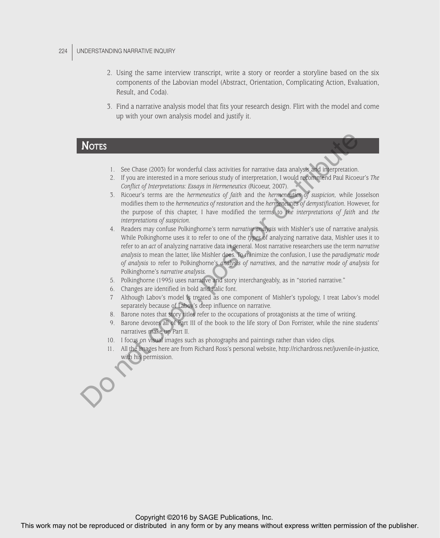#### 224 UNDERSTANDING NARRATIVE INQUIRY

- 2. Using the same interview transcript, write a story or reorder a storyline based on the six components of the Labovian model (Abstract, Orientation, Complicating Action, Evaluation, Result, and Coda).
- 3. Find a narrative analysis model that fits your research design. Flirt with the model and come up with your own analysis model and justify it.

# **NOTES**

- 1. See Chase (2003) for wonderful class activities for narrative data analysis and interpretation.
- 2. If you are interested in a more serious study of interpretation, I would recommend Paul Ricoeur's *The Conflict of Interpretations: Essays in Hermeneutics* (Ricoeur, 2007).
- 3. Ricoeur's terms are the *hermeneutics of faith* and the *hermeneutics of suspicion,* while Josselson modifies them to the *hermeneutics of restoration* and the *hermeneutics of demystification.* However, for the purpose of this chapter, I have modified the terms to *the interpretations of faith* and *the interpretations of suspicion.*
- 4. Readers may confuse Polkinghorne's term *narrative analysis* with Mishler's use of narrative analysis. While Polkinghorne uses it to refer to one of the *types* of analyzing narrative data, Mishler uses it to refer to an *act* of analyzing narrative data in general. Most narrative researchers use the term *narrative analysis* to mean the latter, like Mishler does. To minimize the confusion, I use the *paradigmatic mode of analysis* to refer to Polkinghorne's *analysis of narratives*, and the *narrative mode of analysis* for Polkinghorne's *narrative analysis.* **This work may not be reproduced or distributed in any form or by any form or by any means without express without express the reproduced in any form or by a specific the publisher. This was not be reproduced in any form** 
	- 5. Polkinghorne (1995) uses narrative and story interchangeably, as in "storied narrative."
	- 6. Changes are identified in bold and italic font.
	- 7 Although Labov's model is treated as one component of Mishler's typology, I treat Labov's model separately because of Labov's deep influence on narrative.
	- 8. Barone notes that story titles refer to the occupations of protagonists at the time of writing.
	- 9. Barone devotes all of Part III of the book to the life story of Don Forrister, while the nine students' narratives make up Part II.
	- 10. I focus on visual images such as photographs and paintings rather than video clips.
	- 11. All the images here are from Richard Ross's personal website, http://richardross.net/juvenile-in-justice, with his permission.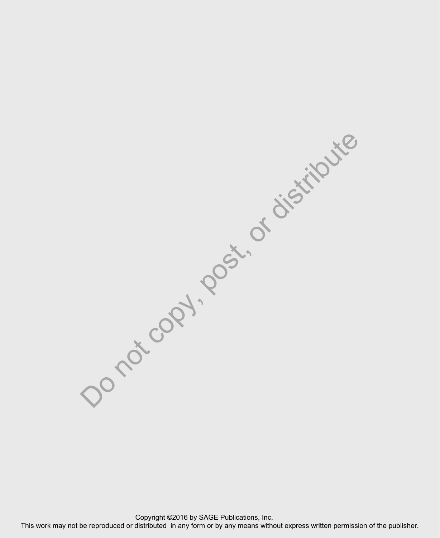This work may not be reproduced or distributed in any form or by any means without express written permission or the publisher.